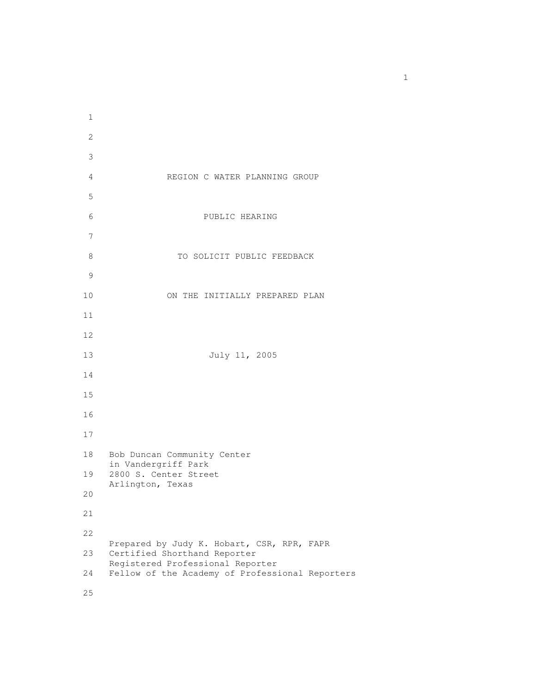REGION C WATER PLANNING GROUP PUBLIC HEARING 8 TO SOLICIT PUBLIC FEEDBACK ON THE INITIALLY PREPARED PLAN July 11, 2005 Bob Duncan Community Center in Vandergriff Park 2800 S. Center Street Arlington, Texas Prepared by Judy K. Hobart, CSR, RPR, FAPR Certified Shorthand Reporter Registered Professional Reporter Fellow of the Academy of Professional Reporters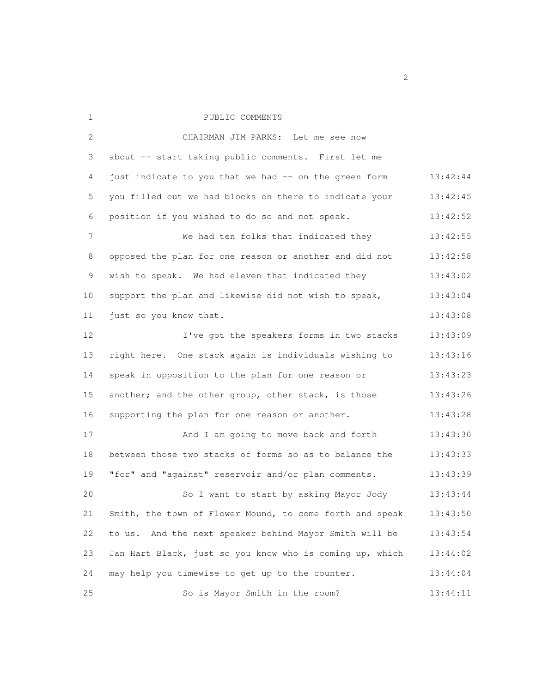| 1           | PUBLIC COMMENTS                                          |          |
|-------------|----------------------------------------------------------|----------|
| 2           | CHAIRMAN JIM PARKS: Let me see now                       |          |
| 3           | about -- start taking public comments. First let me      |          |
| 4           | just indicate to you that we had -- on the green form    | 13:42:44 |
| 5           | you filled out we had blocks on there to indicate your   | 13:42:45 |
| 6           | position if you wished to do so and not speak.           | 13:42:52 |
| 7           | We had ten folks that indicated they                     | 13:42:55 |
| 8           | opposed the plan for one reason or another and did not   | 13:42:58 |
| $\mathsf 9$ | wish to speak. We had eleven that indicated they         | 13:43:02 |
| 10          | support the plan and likewise did not wish to speak,     | 13:43:04 |
| 11          | just so you know that.                                   | 13:43:08 |
| 12          | I've got the speakers forms in two stacks                | 13:43:09 |
| 13          | right here. One stack again is individuals wishing to    | 13:43:16 |
| 14          | speak in opposition to the plan for one reason or        | 13:43:23 |
| 15          | another; and the other group, other stack, is those      | 13:43:26 |
| 16          | supporting the plan for one reason or another.           | 13:43:28 |
| 17          | And I am going to move back and forth                    | 13:43:30 |
| 18          | between those two stacks of forms so as to balance the   | 13:43:33 |
| 19          | "for" and "against" reservoir and/or plan comments.      | 13:43:39 |
| 20          | So I want to start by asking Mayor Jody                  | 13:43:44 |
| 21          | Smith, the town of Flower Mound, to come forth and speak | 13:43:50 |
| 22          | to us. And the next speaker behind Mayor Smith will be   | 13:43:54 |
| 23          | Jan Hart Black, just so you know who is coming up, which | 13:44:02 |
| 24          | may help you timewise to get up to the counter.          | 13:44:04 |
| 25          | So is Mayor Smith in the room?                           | 13:44:11 |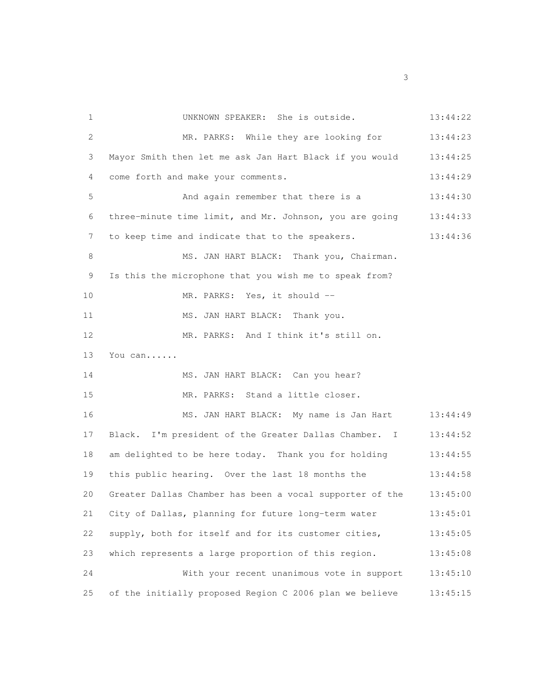UNKNOWN SPEAKER: She is outside. 13:44:22 MR. PARKS: While they are looking for 13:44:23 Mayor Smith then let me ask Jan Hart Black if you would 13:44:25 come forth and make your comments. 13:44:29 5 And again remember that there is a 13:44:30 three-minute time limit, and Mr. Johnson, you are going 13:44:33 to keep time and indicate that to the speakers. 13:44:36 8 MS. JAN HART BLACK: Thank you, Chairman. Is this the microphone that you wish me to speak from? 10 MR. PARKS: Yes, it should --11 MS. JAN HART BLACK: Thank you. MR. PARKS: And I think it's still on. You can...... 14 MS. JAN HART BLACK: Can you hear? MR. PARKS: Stand a little closer. MS. JAN HART BLACK: My name is Jan Hart 13:44:49 17 Black. I'm president of the Greater Dallas Chamber. I 13:44:52 am delighted to be here today. Thank you for holding 13:44:55 this public hearing. Over the last 18 months the 13:44:58 Greater Dallas Chamber has been a vocal supporter of the 13:45:00 City of Dallas, planning for future long-term water 13:45:01 supply, both for itself and for its customer cities, 13:45:05 which represents a large proportion of this region. 13:45:08 With your recent unanimous vote in support 13:45:10 of the initially proposed Region C 2006 plan we believe 13:45:15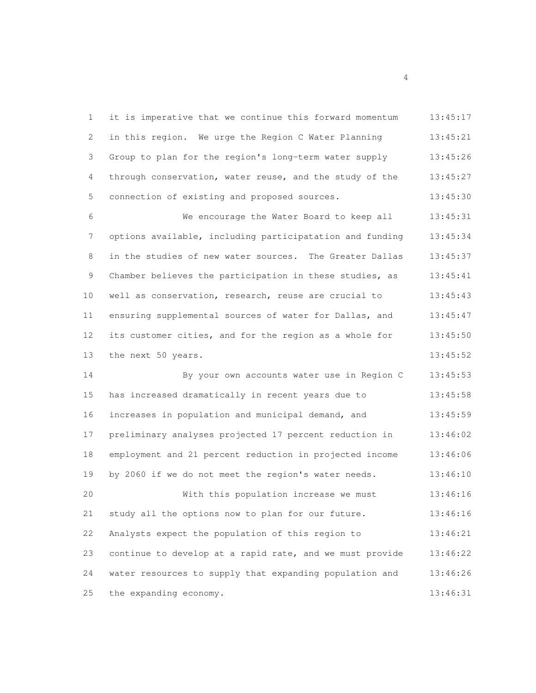| 1            | it is imperative that we continue this forward momentum  | 13:45:17 |
|--------------|----------------------------------------------------------|----------|
| 2            | in this region. We urge the Region C Water Planning      | 13:45:21 |
| 3            | Group to plan for the region's long-term water supply    | 13:45:26 |
| 4            | through conservation, water reuse, and the study of the  | 13:45:27 |
| 5            | connection of existing and proposed sources.             | 13:45:30 |
| 6            | We encourage the Water Board to keep all                 | 13:45:31 |
| 7            | options available, including participatation and funding | 13:45:34 |
| 8            | in the studies of new water sources. The Greater Dallas  | 13:45:37 |
| $\mathsf{S}$ | Chamber believes the participation in these studies, as  | 13:45:41 |
| 10           | well as conservation, research, reuse are crucial to     | 13:45:43 |
| 11           | ensuring supplemental sources of water for Dallas, and   | 13:45:47 |
| 12           | its customer cities, and for the region as a whole for   | 13:45:50 |
| 13           | the next 50 years.                                       | 13:45:52 |
| 14           | By your own accounts water use in Region C               | 13:45:53 |
| 15           | has increased dramatically in recent years due to        | 13:45:58 |
| 16           | increases in population and municipal demand, and        | 13:45:59 |
| 17           | preliminary analyses projected 17 percent reduction in   | 13:46:02 |
| 18           | employment and 21 percent reduction in projected income  | 13:46:06 |
| 19           | by 2060 if we do not meet the region's water needs.      | 13:46:10 |
| 20           | With this population increase we must                    | 13:46:16 |
| 21           | study all the options now to plan for our future.        | 13:46:16 |
| 22           | Analysts expect the population of this region to         | 13:46:21 |
| 23           | continue to develop at a rapid rate, and we must provide | 13:46:22 |
| 24           | water resources to supply that expanding population and  | 13:46:26 |
| 25           | the expanding economy.                                   | 13:46:31 |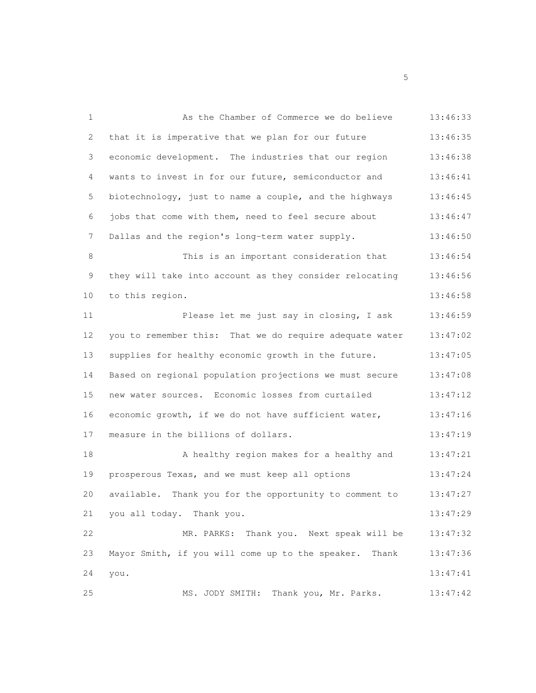| $\mathbf{1}$ | As the Chamber of Commerce we do believe                  | 13:46:33 |
|--------------|-----------------------------------------------------------|----------|
| 2            | that it is imperative that we plan for our future         | 13:46:35 |
| 3            | economic development. The industries that our region      | 13:46:38 |
| 4            | wants to invest in for our future, semiconductor and      | 13:46:41 |
| 5            | biotechnology, just to name a couple, and the highways    | 13:46:45 |
| 6            | jobs that come with them, need to feel secure about       | 13:46:47 |
| 7            | Dallas and the region's long-term water supply.           | 13:46:50 |
| 8            | This is an important consideration that                   | 13:46:54 |
| 9            | they will take into account as they consider relocating   | 13:46:56 |
| 10           | to this region.                                           | 13:46:58 |
| 11           | Please let me just say in closing, I ask                  | 13:46:59 |
| 12           | you to remember this: That we do require adequate water   | 13:47:02 |
| 13           | supplies for healthy economic growth in the future.       | 13:47:05 |
| 14           | Based on regional population projections we must secure   | 13:47:08 |
| 15           | new water sources. Economic losses from curtailed         | 13:47:12 |
| 16           | economic growth, if we do not have sufficient water,      | 13:47:16 |
| 17           | measure in the billions of dollars.                       | 13:47:19 |
| 18           | A healthy region makes for a healthy and                  | 13:47:21 |
| 19           | prosperous Texas, and we must keep all options            | 13:47:24 |
| 20           | available. Thank you for the opportunity to comment to    | 13:47:27 |
| 21           | you all today. Thank you.                                 | 13:47:29 |
| 22           | MR. PARKS: Thank you. Next speak will be                  | 13:47:32 |
| 23           | Mayor Smith, if you will come up to the speaker.<br>Thank | 13:47:36 |
| 24           | you.                                                      | 13:47:41 |
| 25           | MS. JODY SMITH: Thank you, Mr. Parks.                     | 13:47:42 |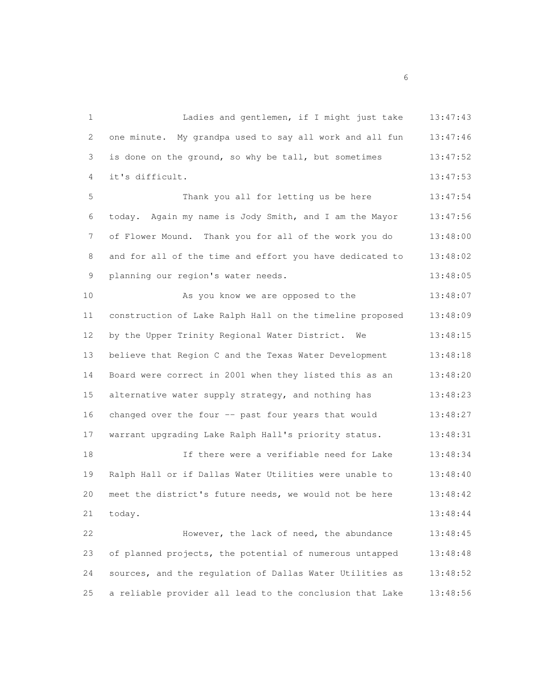Ladies and gentlemen, if I might just take 13:47:43 one minute. My grandpa used to say all work and all fun 13:47:46 is done on the ground, so why be tall, but sometimes 13:47:52 it's difficult. 13:47:53 5 Thank you all for letting us be here 13:47:54 today. Again my name is Jody Smith, and I am the Mayor 13:47:56 of Flower Mound. Thank you for all of the work you do 13:48:00 and for all of the time and effort you have dedicated to 13:48:02 planning our region's water needs. 13:48:05 As you know we are opposed to the 13:48:07 construction of Lake Ralph Hall on the timeline proposed 13:48:09 12 by the Upper Trinity Regional Water District. We 13:48:15 believe that Region C and the Texas Water Development 13:48:18 Board were correct in 2001 when they listed this as an 13:48:20 alternative water supply strategy, and nothing has 13:48:23 16 changed over the four -- past four years that would 13:48:27 warrant upgrading Lake Ralph Hall's priority status. 13:48:31 If there were a verifiable need for Lake 13:48:34 Ralph Hall or if Dallas Water Utilities were unable to 13:48:40 meet the district's future needs, we would not be here 13:48:42 today. 13:48:44 However, the lack of need, the abundance 13:48:45 of planned projects, the potential of numerous untapped 13:48:48 sources, and the regulation of Dallas Water Utilities as 13:48:52 a reliable provider all lead to the conclusion that Lake 13:48:56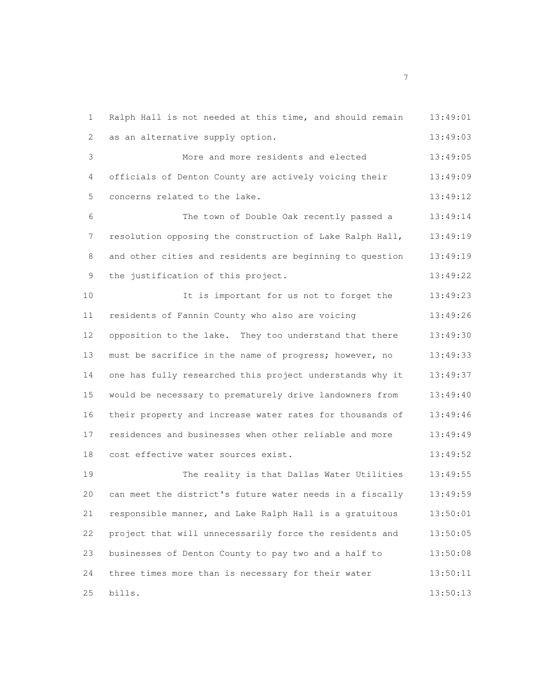Ralph Hall is not needed at this time, and should remain 13:49:01 2 as an alternative supply option. 13:49:03 More and more residents and elected 13:49:05 officials of Denton County are actively voicing their 13:49:09 concerns related to the lake. 13:49:12 The town of Double Oak recently passed a 13:49:14 resolution opposing the construction of Lake Ralph Hall, 13:49:19 8 and other cities and residents are beginning to question 13:49:19 9 the justification of this project. 13:49:22 It is important for us not to forget the 13:49:23 residents of Fannin County who also are voicing 13:49:26 opposition to the lake. They too understand that there 13:49:30 13 must be sacrifice in the name of progress; however, no 13:49:33 one has fully researched this project understands why it 13:49:37 would be necessary to prematurely drive landowners from 13:49:40 their property and increase water rates for thousands of 13:49:46 residences and businesses when other reliable and more 13:49:49 cost effective water sources exist. 13:49:52 The reality is that Dallas Water Utilities 13:49:55 can meet the district's future water needs in a fiscally 13:49:59 responsible manner, and Lake Ralph Hall is a gratuitous 13:50:01 project that will unnecessarily force the residents and 13:50:05 businesses of Denton County to pay two and a half to 13:50:08 three times more than is necessary for their water 13:50:11 bills. 13:50:13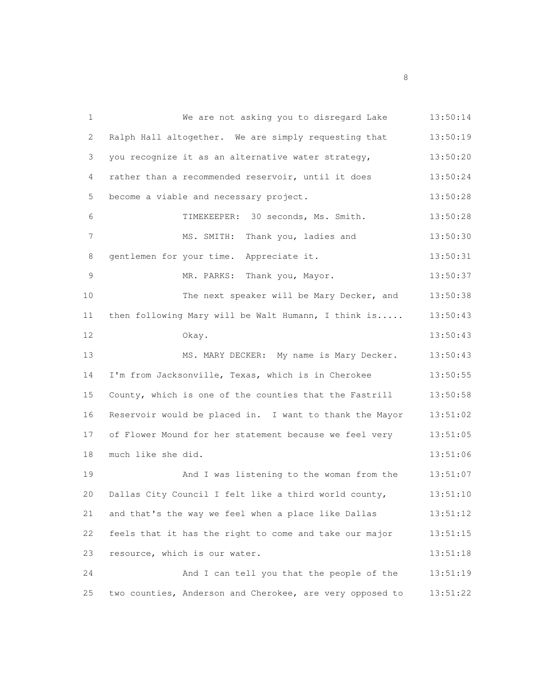| $\mathbf{1}$ | We are not asking you to disregard Lake                  | 13:50:14 |
|--------------|----------------------------------------------------------|----------|
| 2            | Ralph Hall altogether. We are simply requesting that     | 13:50:19 |
| 3            | you recognize it as an alternative water strategy,       | 13:50:20 |
| 4            | rather than a recommended reservoir, until it does       | 13:50:24 |
| 5            | become a viable and necessary project.                   | 13:50:28 |
| 6            | TIMEKEEPER: 30 seconds, Ms. Smith.                       | 13:50:28 |
| 7            | MS. SMITH: Thank you, ladies and                         | 13:50:30 |
| 8            | gentlemen for your time. Appreciate it.                  | 13:50:31 |
| $\mathsf 9$  | MR. PARKS: Thank you, Mayor.                             | 13:50:37 |
| 10           | The next speaker will be Mary Decker, and                | 13:50:38 |
| 11           | then following Mary will be Walt Humann, I think is      | 13:50:43 |
| 12           | Okay.                                                    | 13:50:43 |
| 13           | MS. MARY DECKER: My name is Mary Decker.                 | 13:50:43 |
| 14           | I'm from Jacksonville, Texas, which is in Cherokee       | 13:50:55 |
| 15           | County, which is one of the counties that the Fastrill   | 13:50:58 |
| 16           | Reservoir would be placed in. I want to thank the Mayor  | 13:51:02 |
| 17           | of Flower Mound for her statement because we feel very   | 13:51:05 |
| 18           | much like she did.                                       | 13:51:06 |
| 19           | And I was listening to the woman from the                | 13:51:07 |
| 20           | Dallas City Council I felt like a third world county,    | 13:51:10 |
| 21           | and that's the way we feel when a place like Dallas      | 13:51:12 |
| 22           | feels that it has the right to come and take our major   | 13:51:15 |
| 23           | resource, which is our water.                            | 13:51:18 |
| 24           | And I can tell you that the people of the                | 13:51:19 |
| 25           | two counties, Anderson and Cherokee, are very opposed to | 13:51:22 |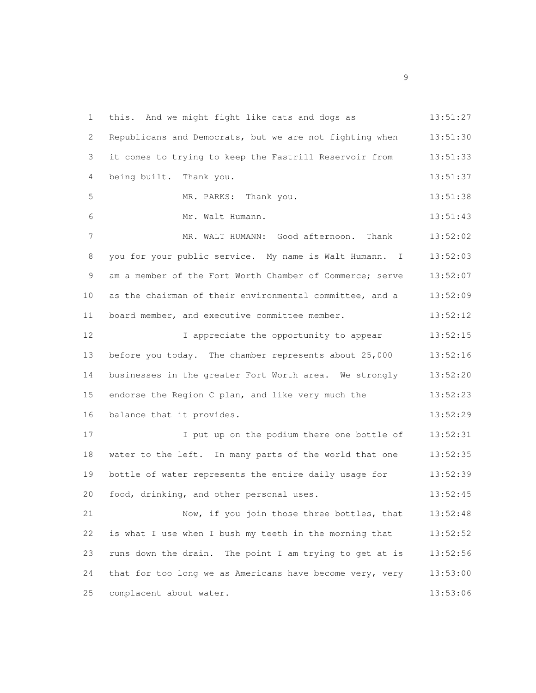this. And we might fight like cats and dogs as 13:51:27 Republicans and Democrats, but we are not fighting when 13:51:30 it comes to trying to keep the Fastrill Reservoir from 13:51:33 being built. Thank you. 13:51:37 MR. PARKS: Thank you. 13:51:38 Mr. Walt Humann. 13:51:43 7 MR. WALT HUMANN: Good afternoon. Thank 13:52:02 you for your public service. My name is Walt Humann. I 13:52:03 am a member of the Fort Worth Chamber of Commerce; serve 13:52:07 as the chairman of their environmental committee, and a 13:52:09 11 board member, and executive committee member. 13:52:12 12 12 I appreciate the opportunity to appear 13:52:15 before you today. The chamber represents about 25,000 13:52:16 businesses in the greater Fort Worth area. We strongly 13:52:20 endorse the Region C plan, and like very much the 13:52:23 16 balance that it provides. 13:52:29 17 17 I put up on the podium there one bottle of 13:52:31 water to the left. In many parts of the world that one 13:52:35 bottle of water represents the entire daily usage for 13:52:39 food, drinking, and other personal uses. 13:52:45 Now, if you join those three bottles, that 13:52:48 is what I use when I bush my teeth in the morning that 13:52:52 runs down the drain. The point I am trying to get at is 13:52:56 that for too long we as Americans have become very, very 13:53:00 complacent about water. 13:53:06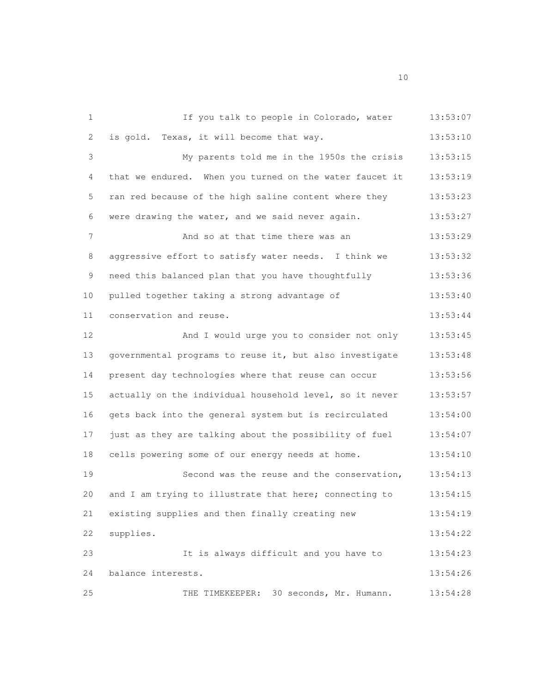1 1 If you talk to people in Colorado, water 13:53:07 2 is gold. Texas, it will become that way. 13:53:10 My parents told me in the 1950s the crisis 13:53:15 4 that we endured. When you turned on the water faucet it 13:53:19 ran red because of the high saline content where they 13:53:23 were drawing the water, and we said never again. 13:53:27 7 And so at that time there was an 13:53:29 8 aggressive effort to satisfy water needs. I think we 13:53:32 9 need this balanced plan that you have thoughtfully 13:53:36 pulled together taking a strong advantage of 13:53:40 conservation and reuse. 13:53:44 And I would urge you to consider not only 13:53:45 governmental programs to reuse it, but also investigate 13:53:48 present day technologies where that reuse can occur 13:53:56 actually on the individual household level, so it never 13:53:57 gets back into the general system but is recirculated 13:54:00 17 just as they are talking about the possibility of fuel 13:54:07 cells powering some of our energy needs at home. 13:54:10 Second was the reuse and the conservation, 13:54:13 and I am trying to illustrate that here; connecting to 13:54:15 existing supplies and then finally creating new 13:54:19 supplies. 13:54:22 It is always difficult and you have to 13:54:23 balance interests. 13:54:26 THE TIMEKEEPER: 30 seconds, Mr. Humann. 13:54:28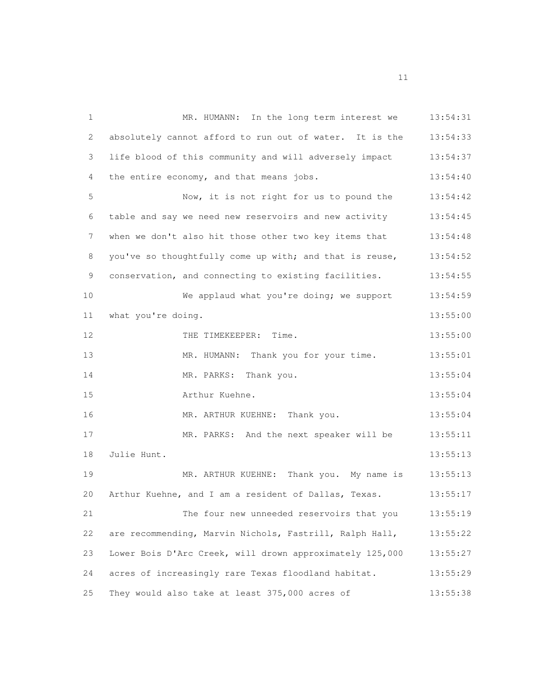MR. HUMANN: In the long term interest we 13:54:31 absolutely cannot afford to run out of water. It is the 13:54:33 life blood of this community and will adversely impact 13:54:37 4 the entire economy, and that means jobs. 13:54:40 Now, it is not right for us to pound the 13:54:42 table and say we need new reservoirs and new activity 13:54:45 7 when we don't also hit those other two key items that 13:54:48 you've so thoughtfully come up with; and that is reuse, 13:54:52 9 conservation, and connecting to existing facilities.  $13:54:55$  We applaud what you're doing; we support 13:54:59 11 what you're doing. 13:55:00 12 THE TIMEKEEPER: Time. 13:55:00 MR. HUMANN: Thank you for your time. 13:55:01 MR. PARKS: Thank you. 13:55:04 Arthur Kuehne. 13:55:04 MR. ARTHUR KUEHNE: Thank you. 13:55:04 MR. PARKS: And the next speaker will be 13:55:11 Julie Hunt. 13:55:13 MR. ARTHUR KUEHNE: Thank you. My name is 13:55:13 20 Arthur Kuehne, and I am a resident of Dallas, Texas. 13:55:17 The four new unneeded reservoirs that you 13:55:19 are recommending, Marvin Nichols, Fastrill, Ralph Hall, 13:55:22 Lower Bois D'Arc Creek, will drown approximately 125,000 13:55:27 acres of increasingly rare Texas floodland habitat. 13:55:29 They would also take at least 375,000 acres of 13:55:38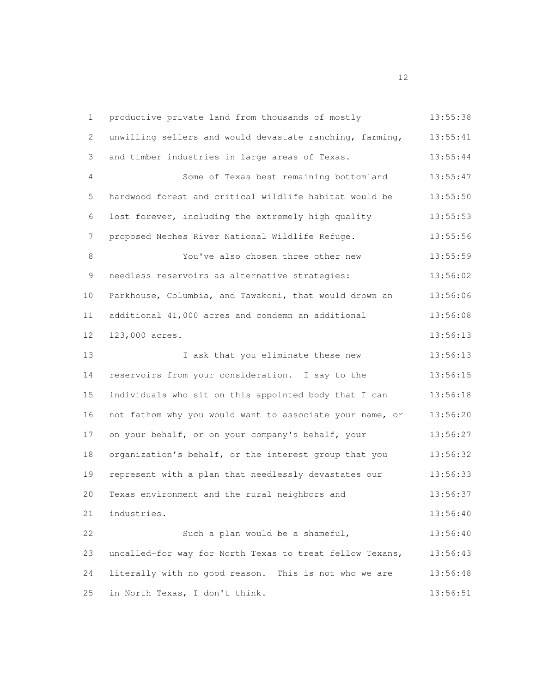| $\mathbf{1}$ | productive private land from thousands of mostly         | 13:55:38 |
|--------------|----------------------------------------------------------|----------|
| 2            | unwilling sellers and would devastate ranching, farming, | 13:55:41 |
| 3            | and timber industries in large areas of Texas.           | 13:55:44 |
| 4            | Some of Texas best remaining bottomland                  | 13:55:47 |
| 5            | hardwood forest and critical wildlife habitat would be   | 13:55:50 |
| 6            | lost forever, including the extremely high quality       | 13:55:53 |
| 7            | proposed Neches River National Wildlife Refuge.          | 13:55:56 |
| 8            | You've also chosen three other new                       | 13:55:59 |
| 9            | needless reservoirs as alternative strategies:           | 13:56:02 |
| 10           | Parkhouse, Columbia, and Tawakoni, that would drown an   | 13:56:06 |
| 11           | additional 41,000 acres and condemn an additional        | 13:56:08 |
| 12           | 123,000 acres.                                           | 13:56:13 |
| 13           | I ask that you eliminate these new                       | 13:56:13 |
| 14           | reservoirs from your consideration. I say to the         | 13:56:15 |
| 15           | individuals who sit on this appointed body that I can    | 13:56:18 |
| 16           | not fathom why you would want to associate your name, or | 13:56:20 |
| 17           | on your behalf, or on your company's behalf, your        | 13:56:27 |
| 18           | organization's behalf, or the interest group that you    | 13:56:32 |
| 19           | represent with a plan that needlessly devastates our     | 13:56:33 |
| 20           | Texas environment and the rural neighbors and            | 13:56:37 |
| 21           | industries.                                              | 13:56:40 |
| 22           | Such a plan would be a shameful,                         | 13:56:40 |
| 23           | uncalled-for way for North Texas to treat fellow Texans, | 13:56:43 |
| 24           | literally with no good reason. This is not who we are    | 13:56:48 |
| 25           | in North Texas, I don't think.                           | 13:56:51 |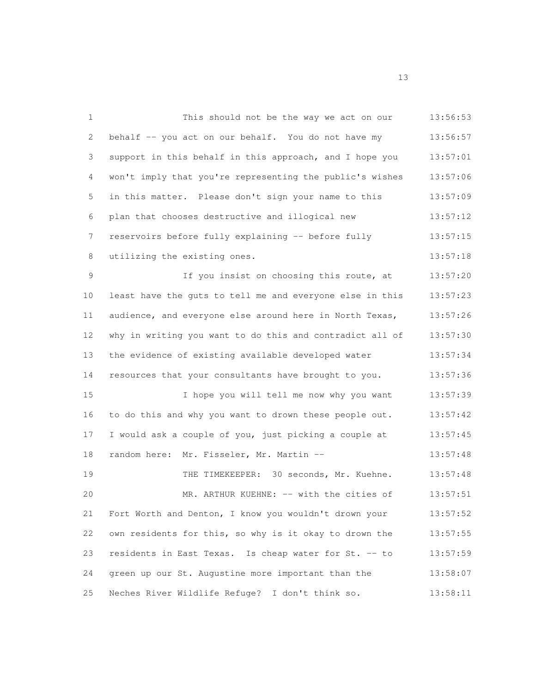| $\mathbf{1}$  | This should not be the way we act on our                 | 13:56:53 |
|---------------|----------------------------------------------------------|----------|
| 2             | behalf -- you act on our behalf. You do not have my      | 13:56:57 |
| 3             | support in this behalf in this approach, and I hope you  | 13:57:01 |
| 4             | won't imply that you're representing the public's wishes | 13:57:06 |
| 5             | in this matter. Please don't sign your name to this      | 13:57:09 |
| 6             | plan that chooses destructive and illogical new          | 13:57:12 |
| 7             | reservoirs before fully explaining -- before fully       | 13:57:15 |
| 8             | utilizing the existing ones.                             | 13:57:18 |
| $\mathcal{G}$ | If you insist on choosing this route, at                 | 13:57:20 |
| 10            | least have the guts to tell me and everyone else in this | 13:57:23 |
| 11            | audience, and everyone else around here in North Texas,  | 13:57:26 |
| 12            | why in writing you want to do this and contradict all of | 13:57:30 |
| 13            | the evidence of existing available developed water       | 13:57:34 |
| 14            | resources that your consultants have brought to you.     | 13:57:36 |
| 15            | I hope you will tell me now why you want                 | 13:57:39 |
| 16            | to do this and why you want to drown these people out.   | 13:57:42 |
| 17            | I would ask a couple of you, just picking a couple at    | 13:57:45 |
| 18            | random here: Mr. Fisseler, Mr. Martin --                 | 13:57:48 |
| 19            | THE TIMEKEEPER: 30 seconds, Mr. Kuehne.                  | 13:57:48 |
| 20            | MR. ARTHUR KUEHNE: -- with the cities of                 | 13:57:51 |
| 21            | Fort Worth and Denton, I know you wouldn't drown your    | 13:57:52 |
| 22            | own residents for this, so why is it okay to drown the   | 13:57:55 |
| 23            | residents in East Texas. Is cheap water for St. -- to    | 13:57:59 |
| 24            | green up our St. Augustine more important than the       | 13:58:07 |
| 25            | Neches River Wildlife Refuge? I don't think so.          | 13:58:11 |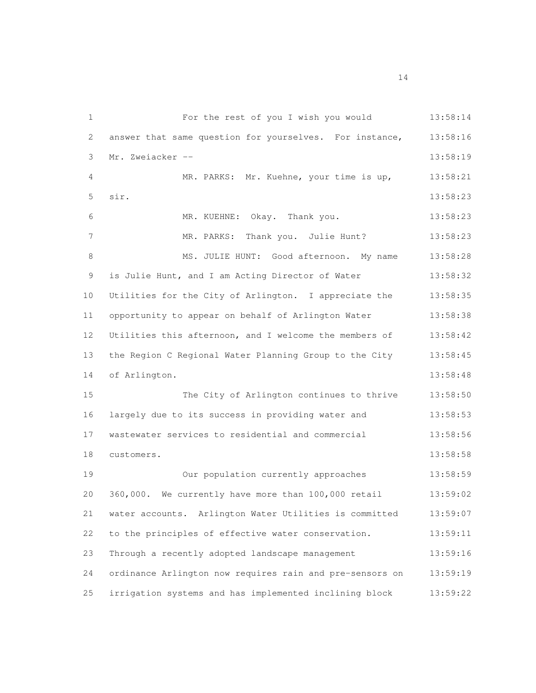For the rest of you I wish you would 13:58:14 2 answer that same question for yourselves. For instance, 13:58:16 Mr. Zweiacker -- 13:58:19 MR. PARKS: Mr. Kuehne, your time is up, 13:58:21 sir. 13:58:23 MR. KUEHNE: Okay. Thank you. 13:58:23 7 MR. PARKS: Thank you. Julie Hunt? 13:58:23 8 MS. JULIE HUNT: Good afternoon. My name 13:58:28 9 is Julie Hunt, and I am Acting Director of Water 13:58:32 Utilities for the City of Arlington. I appreciate the 13:58:35 opportunity to appear on behalf of Arlington Water 13:58:38 Utilities this afternoon, and I welcome the members of 13:58:42 the Region C Regional Water Planning Group to the City 13:58:45 14 of Arlington. 13:58:48 The City of Arlington continues to thrive 13:58:50 largely due to its success in providing water and 13:58:53 wastewater services to residential and commercial 13:58:56 customers. 13:58:58 Our population currently approaches 13:58:59 360,000. We currently have more than 100,000 retail 13:59:02 water accounts. Arlington Water Utilities is committed 13:59:07 to the principles of effective water conservation. 13:59:11 Through a recently adopted landscape management 13:59:16 ordinance Arlington now requires rain and pre-sensors on 13:59:19 irrigation systems and has implemented inclining block 13:59:22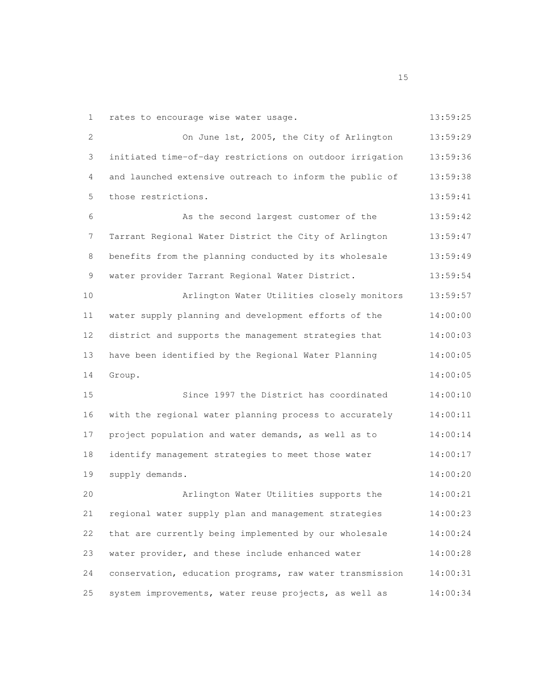| 1           | rates to encourage wise water usage.                     | 13:59:25 |
|-------------|----------------------------------------------------------|----------|
| 2           | On June 1st, 2005, the City of Arlington                 | 13:59:29 |
| 3           | initiated time-of-day restrictions on outdoor irrigation | 13:59:36 |
| 4           | and launched extensive outreach to inform the public of  | 13:59:38 |
| 5           | those restrictions.                                      | 13:59:41 |
| 6           | As the second largest customer of the                    | 13:59:42 |
| 7           | Tarrant Regional Water District the City of Arlington    | 13:59:47 |
| 8           | benefits from the planning conducted by its wholesale    | 13:59:49 |
| $\mathsf 9$ | water provider Tarrant Regional Water District.          | 13:59:54 |
| 10          | Arlington Water Utilities closely monitors               | 13:59:57 |
| 11          | water supply planning and development efforts of the     | 14:00:00 |
| 12          | district and supports the management strategies that     | 14:00:03 |
| 13          | have been identified by the Regional Water Planning      | 14:00:05 |
| 14          | Group.                                                   | 14:00:05 |
| 15          | Since 1997 the District has coordinated                  | 14:00:10 |
| 16          | with the regional water planning process to accurately   | 14:00:11 |
| 17          | project population and water demands, as well as to      | 14:00:14 |
| 18          | identify management strategies to meet those water       | 14:00:17 |
| 19          | supply demands.                                          | 14:00:20 |
| 20          | Arlington Water Utilities supports the                   | 14:00:21 |
| 21          | regional water supply plan and management strategies     | 14:00:23 |
| 22          | that are currently being implemented by our wholesale    | 14:00:24 |
| 23          | water provider, and these include enhanced water         | 14:00:28 |
| 24          | conservation, education programs, raw water transmission | 14:00:31 |
| 25          | system improvements, water reuse projects, as well as    | 14:00:34 |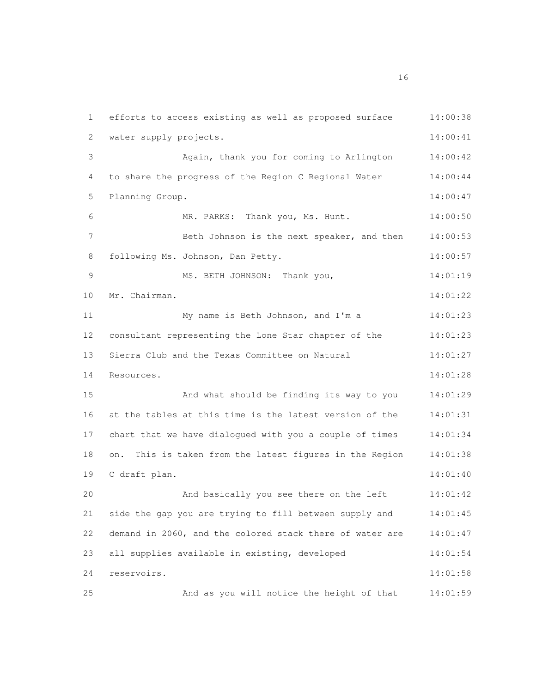efforts to access existing as well as proposed surface 14:00:38 water supply projects. 14:00:41 Again, thank you for coming to Arlington 14:00:42 to share the progress of the Region C Regional Water 14:00:44 Planning Group. 14:00:47 MR. PARKS: Thank you, Ms. Hunt. 14:00:50 Beth Johnson is the next speaker, and then 14:00:53 8 following Ms. Johnson, Dan Petty. 14:00:57 MS. BETH JOHNSON: Thank you, 14:01:19 Mr. Chairman. 14:01:22 My name is Beth Johnson, and I'm a 14:01:23 consultant representing the Lone Star chapter of the 14:01:23 13 Sierra Club and the Texas Committee on Natural 14:01:27 Resources. 14:01:28 And what should be finding its way to you 14:01:29 at the tables at this time is the latest version of the 14:01:31 chart that we have dialogued with you a couple of times 14:01:34 on. This is taken from the latest figures in the Region 14:01:38 C draft plan. 14:01:40 And basically you see there on the left 14:01:42 side the gap you are trying to fill between supply and 14:01:45 demand in 2060, and the colored stack there of water are 14:01:47 all supplies available in existing, developed 14:01:54 reservoirs. 14:01:58 And as you will notice the height of that 14:01:59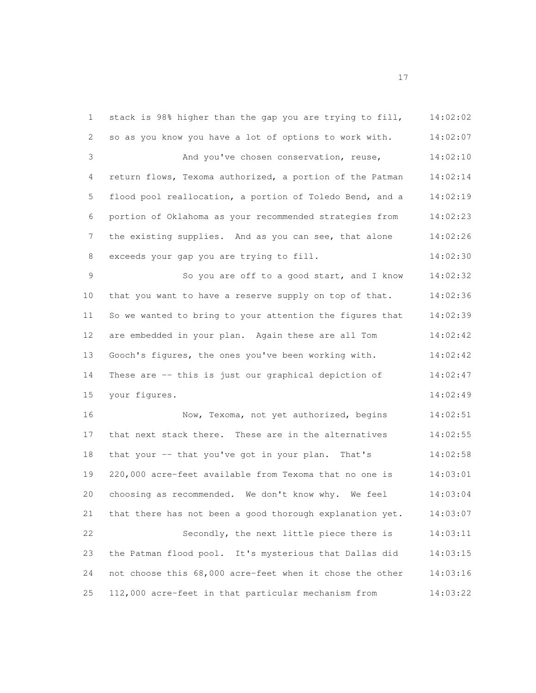stack is 98% higher than the gap you are trying to fill, 14:02:02 so as you know you have a lot of options to work with. 14:02:07 And you've chosen conservation, reuse, 14:02:10 return flows, Texoma authorized, a portion of the Patman 14:02:14 flood pool reallocation, a portion of Toledo Bend, and a 14:02:19 portion of Oklahoma as your recommended strategies from 14:02:23 7 the existing supplies. And as you can see, that alone 14:02:26 exceeds your gap you are trying to fill. 14:02:30 So you are off to a good start, and I know 14:02:32 that you want to have a reserve supply on top of that. 14:02:36 So we wanted to bring to your attention the figures that 14:02:39 are embedded in your plan. Again these are all Tom 14:02:42 Gooch's figures, the ones you've been working with. 14:02:42 These are -- this is just our graphical depiction of 14:02:47 15 your figures. 14:02:49 Now, Texoma, not yet authorized, begins 14:02:51 that next stack there. These are in the alternatives 14:02:55 18 that your -- that you've got in your plan. That's 14:02:58 220,000 acre-feet available from Texoma that no one is 14:03:01 choosing as recommended. We don't know why. We feel 14:03:04 that there has not been a good thorough explanation yet. 14:03:07 Secondly, the next little piece there is 14:03:11 the Patman flood pool. It's mysterious that Dallas did 14:03:15 not choose this 68,000 acre-feet when it chose the other 14:03:16 112,000 acre-feet in that particular mechanism from 14:03:22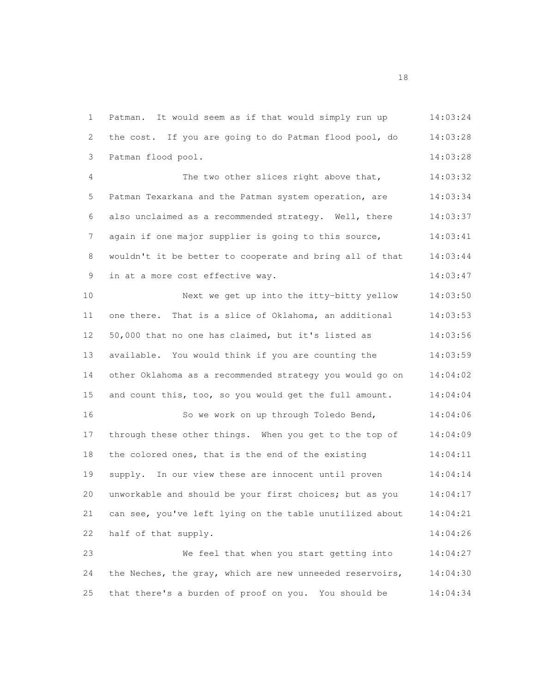Patman. It would seem as if that would simply run up 14:03:24 the cost. If you are going to do Patman flood pool, do 14:03:28 Patman flood pool. 14:03:28 The two other slices right above that, 14:03:32 Patman Texarkana and the Patman system operation, are 14:03:34 also unclaimed as a recommended strategy. Well, there 14:03:37 7 again if one major supplier is going to this source, 14:03:41 wouldn't it be better to cooperate and bring all of that 14:03:44 9 in at a more cost effective way. 14:03:47 Next we get up into the itty-bitty yellow 14:03:50 one there. That is a slice of Oklahoma, an additional 14:03:53 50,000 that no one has claimed, but it's listed as 14:03:56 available. You would think if you are counting the 14:03:59 other Oklahoma as a recommended strategy you would go on 14:04:02 and count this, too, so you would get the full amount. 14:04:04 So we work on up through Toledo Bend, 14:04:06 through these other things. When you get to the top of 14:04:09 18 the colored ones, that is the end of the existing 14:04:11 supply. In our view these are innocent until proven 14:04:14 unworkable and should be your first choices; but as you 14:04:17 can see, you've left lying on the table unutilized about 14:04:21 22 half of that supply. 14:04:26 We feel that when you start getting into 14:04:27 the Neches, the gray, which are new unneeded reservoirs, 14:04:30 that there's a burden of proof on you. You should be 14:04:34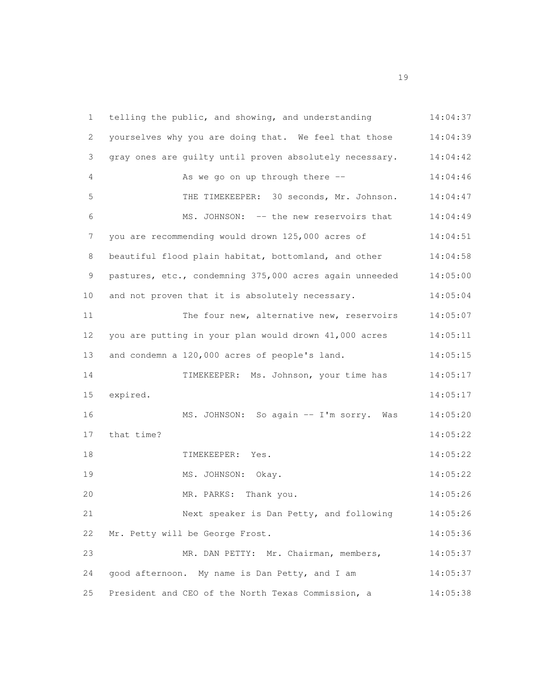| 1           | telling the public, and showing, and understanding      | 14:04:37 |
|-------------|---------------------------------------------------------|----------|
| 2           | yourselves why you are doing that. We feel that those   | 14:04:39 |
| 3           | gray ones are guilty until proven absolutely necessary. | 14:04:42 |
| 4           | As we go on up through there --                         | 14:04:46 |
| 5           | THE TIMEKEEPER: 30 seconds, Mr. Johnson.                | 14:04:47 |
| 6           | MS. JOHNSON: -- the new reservoirs that                 | 14:04:49 |
| 7           | you are recommending would drown 125,000 acres of       | 14:04:51 |
| 8           | beautiful flood plain habitat, bottomland, and other    | 14:04:58 |
| $\mathsf 9$ | pastures, etc., condemning 375,000 acres again unneeded | 14:05:00 |
| 10          | and not proven that it is absolutely necessary.         | 14:05:04 |
| 11          | The four new, alternative new, reservoirs               | 14:05:07 |
| 12          | you are putting in your plan would drown 41,000 acres   | 14:05:11 |
| 13          | and condemn a 120,000 acres of people's land.           | 14:05:15 |
| 14          | TIMEKEEPER: Ms. Johnson, your time has                  | 14:05:17 |
| 15          | expired.                                                | 14:05:17 |
| 16          | MS. JOHNSON: So again -- I'm sorry.<br>Was              | 14:05:20 |
| 17          | that time?                                              | 14:05:22 |
| 18          | TIMEKEEPER: Yes.                                        | 14:05:22 |
| 19          | MS. JOHNSON: Okay.                                      | 14:05:22 |
| 20          | MR. PARKS: Thank you.                                   | 14:05:26 |
| 21          | Next speaker is Dan Petty, and following                | 14:05:26 |
| 22          | Mr. Petty will be George Frost.                         | 14:05:36 |
| 23          | MR. DAN PETTY: Mr. Chairman, members,                   | 14:05:37 |
| 24          | good afternoon. My name is Dan Petty, and I am          | 14:05:37 |
| 25          | President and CEO of the North Texas Commission, a      | 14:05:38 |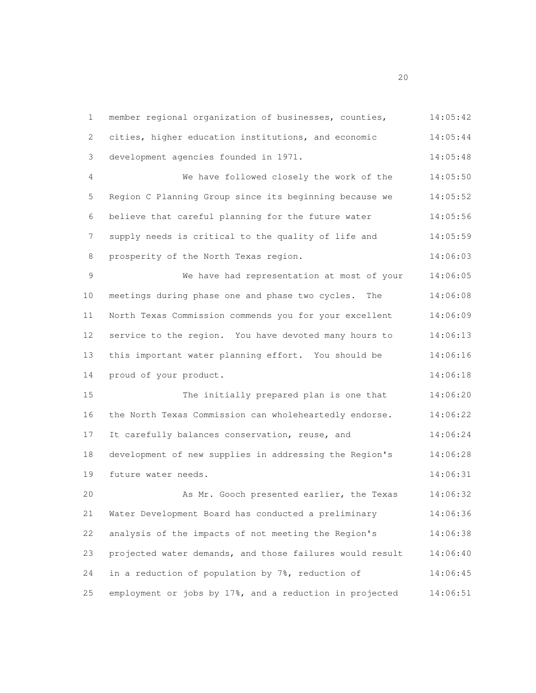member regional organization of businesses, counties, 14:05:42 cities, higher education institutions, and economic 14:05:44 development agencies founded in 1971. 14:05:48 We have followed closely the work of the 14:05:50 Region C Planning Group since its beginning because we 14:05:52 believe that careful planning for the future water 14:05:56 7 supply needs is critical to the quality of life and 14:05:59 8 prosperity of the North Texas region. 14:06:03 We have had representation at most of your 14:06:05 meetings during phase one and phase two cycles. The 14:06:08 North Texas Commission commends you for your excellent 14:06:09 service to the region. You have devoted many hours to 14:06:13 this important water planning effort. You should be 14:06:16 14 proud of your product. 14:06:18 The initially prepared plan is one that 14:06:20 the North Texas Commission can wholeheartedly endorse. 14:06:22 It carefully balances conservation, reuse, and 14:06:24 development of new supplies in addressing the Region's 14:06:28 19 future water needs. 14:06:31 As Mr. Gooch presented earlier, the Texas 14:06:32 Water Development Board has conducted a preliminary 14:06:36 analysis of the impacts of not meeting the Region's 14:06:38 projected water demands, and those failures would result 14:06:40 in a reduction of population by 7%, reduction of 14:06:45 employment or jobs by 17%, and a reduction in projected 14:06:51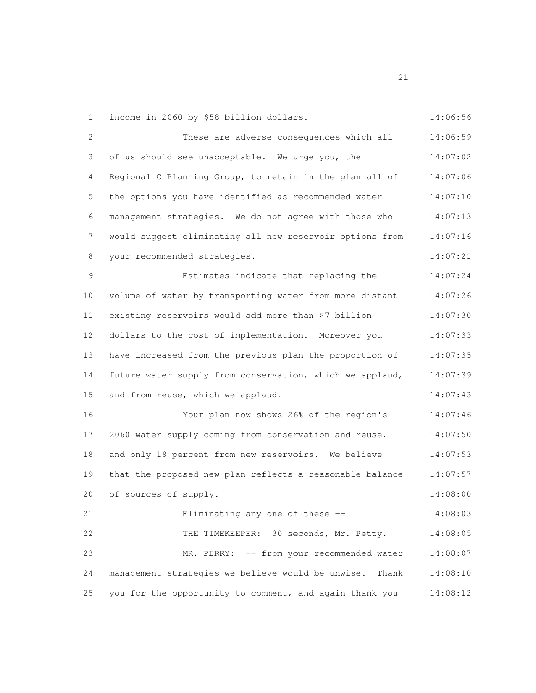income in 2060 by \$58 billion dollars. 14:06:56

2 These are adverse consequences which all  $14:06:59$  of us should see unacceptable. We urge you, the 14:07:02 Regional C Planning Group, to retain in the plan all of 14:07:06 the options you have identified as recommended water 14:07:10 management strategies. We do not agree with those who 14:07:13 would suggest eliminating all new reservoir options from 14:07:16 your recommended strategies. 14:07:21 Estimates indicate that replacing the 14:07:24 volume of water by transporting water from more distant 14:07:26 existing reservoirs would add more than \$7 billion 14:07:30 dollars to the cost of implementation. Moreover you 14:07:33 have increased from the previous plan the proportion of 14:07:35 future water supply from conservation, which we applaud, 14:07:39 and from reuse, which we applaud. 14:07:43 Your plan now shows 26% of the region's 14:07:46 2060 water supply coming from conservation and reuse, 14:07:50 and only 18 percent from new reservoirs. We believe 14:07:53 that the proposed new plan reflects a reasonable balance 14:07:57 of sources of supply. 14:08:00 Eliminating any one of these -- 14:08:03 THE TIMEKEEPER: 30 seconds, Mr. Petty. 14:08:05 MR. PERRY: -- from your recommended water 14:08:07 management strategies we believe would be unwise. Thank 14:08:10 you for the opportunity to comment, and again thank you 14:08:12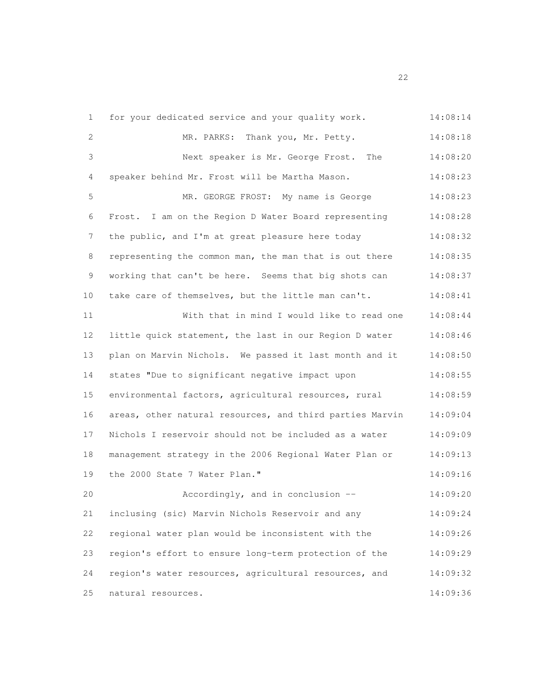| 1           | for your dedicated service and your quality work.        | 14:08:14 |
|-------------|----------------------------------------------------------|----------|
| 2           | MR. PARKS: Thank you, Mr. Petty.                         | 14:08:18 |
| 3           | Next speaker is Mr. George Frost. The                    | 14:08:20 |
| 4           | speaker behind Mr. Frost will be Martha Mason.           | 14:08:23 |
| 5           | MR. GEORGE FROST: My name is George                      | 14:08:23 |
| 6           | Frost. I am on the Region D Water Board representing     | 14:08:28 |
| 7           | the public, and I'm at great pleasure here today         | 14:08:32 |
| 8           | representing the common man, the man that is out there   | 14:08:35 |
| $\mathsf 9$ | working that can't be here. Seems that big shots can     | 14:08:37 |
| 10          | take care of themselves, but the little man can't.       | 14:08:41 |
| 11          | With that in mind I would like to read one               | 14:08:44 |
| 12          | little quick statement, the last in our Region D water   | 14:08:46 |
| 13          | plan on Marvin Nichols. We passed it last month and it   | 14:08:50 |
| 14          | states "Due to significant negative impact upon          | 14:08:55 |
| 15          | environmental factors, agricultural resources, rural     | 14:08:59 |
| 16          | areas, other natural resources, and third parties Marvin | 14:09:04 |
| 17          | Nichols I reservoir should not be included as a water    | 14:09:09 |
| 18          | management strategy in the 2006 Regional Water Plan or   | 14:09:13 |
| 19          | the 2000 State 7 Water Plan."                            | 14:09:16 |
| 20          | Accordingly, and in conclusion --                        | 14:09:20 |
| 21          | inclusing (sic) Marvin Nichols Reservoir and any         | 14:09:24 |
| 22          | regional water plan would be inconsistent with the       | 14:09:26 |
| 23          | region's effort to ensure long-term protection of the    | 14:09:29 |
| 24          | region's water resources, agricultural resources, and    | 14:09:32 |
| 25          | natural resources.                                       | 14:09:36 |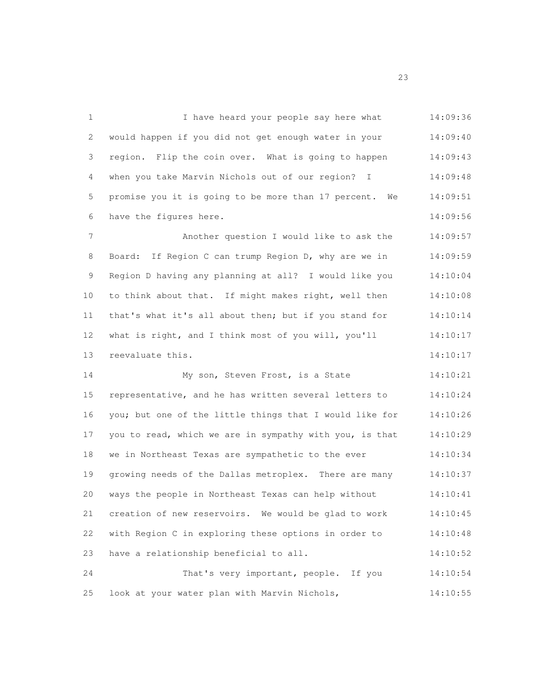1 I have heard your people say here what 14:09:36 would happen if you did not get enough water in your 14:09:40 region. Flip the coin over. What is going to happen 14:09:43 4 when you take Marvin Nichols out of our region? I 14:09:48 promise you it is going to be more than 17 percent. We 14:09:51 6 have the figures here. 14:09:56 7 Another question I would like to ask the 14:09:57 Board: If Region C can trump Region D, why are we in 14:09:59 Region D having any planning at all? I would like you 14:10:04 to think about that. If might makes right, well then 14:10:08 that's what it's all about then; but if you stand for 14:10:14 12 what is right, and I think most of you will, you'll 14:10:17 13 reevaluate this. 14:10:17 My son, Steven Frost, is a State 14:10:21 representative, and he has written several letters to 14:10:24 you; but one of the little things that I would like for 14:10:26 17 you to read, which we are in sympathy with you, is that 14:10:29 we in Northeast Texas are sympathetic to the ever 14:10:34 growing needs of the Dallas metroplex. There are many 14:10:37 ways the people in Northeast Texas can help without 14:10:41 creation of new reservoirs. We would be glad to work 14:10:45 with Region C in exploring these options in order to 14:10:48 23 have a relationship beneficial to all. 14:10:52 That's very important, people. If you 14:10:54 look at your water plan with Marvin Nichols, 14:10:55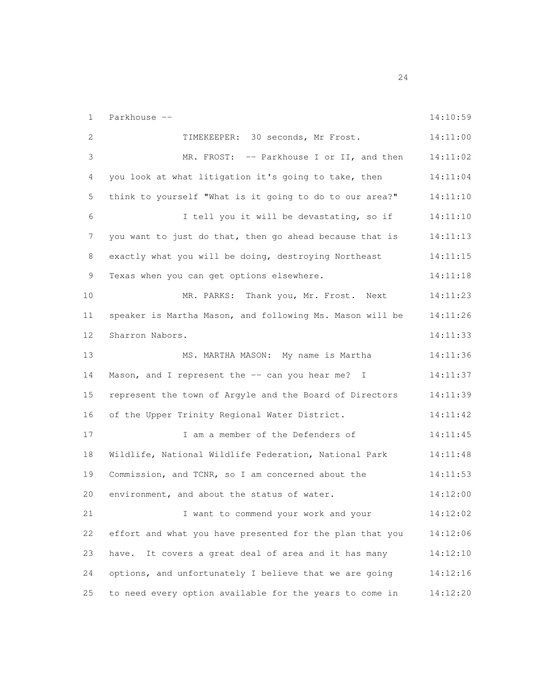Parkhouse -- 14:10:59 TIMEKEEPER: 30 seconds, Mr Frost. 14:11:00 MR. FROST: -- Parkhouse I or II, and then 14:11:02 4 you look at what litigation it's going to take, then 14:11:04 think to yourself "What is it going to do to our area?" 14:11:10 I tell you it will be devastating, so if 14:11:10 7 you want to just do that, then go ahead because that is 14:11:13 exactly what you will be doing, destroying Northeast 14:11:15 Texas when you can get options elsewhere. 14:11:18 10 MR. PARKS: Thank you, Mr. Frost. Next 14:11:23 speaker is Martha Mason, and following Ms. Mason will be 14:11:26 Sharron Nabors. 14:11:33 MS. MARTHA MASON: My name is Martha 14:11:36 14 Mason, and I represent the -- can you hear me? I 14:11:37 represent the town of Argyle and the Board of Directors 14:11:39 of the Upper Trinity Regional Water District. 14:11:42 17 1 1 am a member of the Defenders of 14:11:45 Wildlife, National Wildlife Federation, National Park 14:11:48 Commission, and TCNR, so I am concerned about the 14:11:53 environment, and about the status of water. 14:12:00 21 I want to commend your work and your 14:12:02 effort and what you have presented for the plan that you 14:12:06 have. It covers a great deal of area and it has many 14:12:10 options, and unfortunately I believe that we are going 14:12:16 to need every option available for the years to come in 14:12:20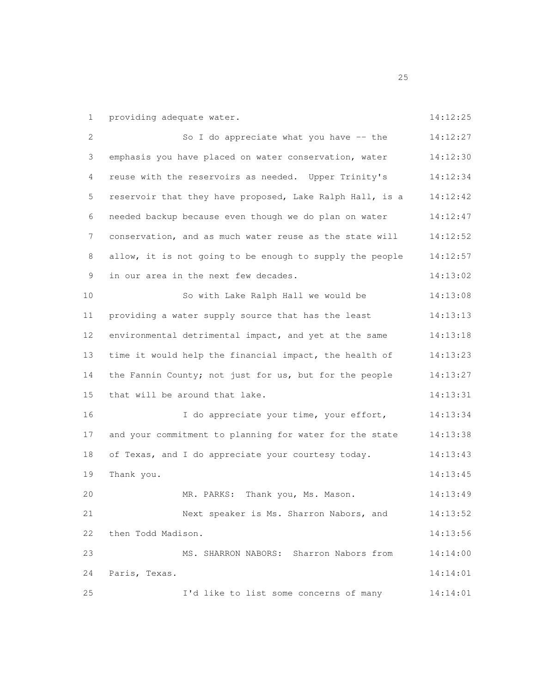1 providing adequate water. 14:12:25

| 2             | So I do appreciate what you have -- the                  | 14:12:27 |
|---------------|----------------------------------------------------------|----------|
| 3             | emphasis you have placed on water conservation, water    | 14:12:30 |
| 4             | reuse with the reservoirs as needed. Upper Trinity's     | 14:12:34 |
| 5             | reservoir that they have proposed, Lake Ralph Hall, is a | 14:12:42 |
| 6             | needed backup because even though we do plan on water    | 14:12:47 |
| 7             | conservation, and as much water reuse as the state will  | 14:12:52 |
| 8             | allow, it is not going to be enough to supply the people | 14:12:57 |
| $\mathcal{G}$ | in our area in the next few decades.                     | 14:13:02 |
| 10            | So with Lake Ralph Hall we would be                      | 14:13:08 |
| 11            | providing a water supply source that has the least       | 14:13:13 |
| 12            | environmental detrimental impact, and yet at the same    | 14:13:18 |
| 13            | time it would help the financial impact, the health of   | 14:13:23 |
| 14            | the Fannin County; not just for us, but for the people   | 14:13:27 |
| 15            | that will be around that lake.                           | 14:13:31 |
| 16            | I do appreciate your time, your effort,                  | 14:13:34 |
| 17            | and your commitment to planning for water for the state  | 14:13:38 |
| 18            | of Texas, and I do appreciate your courtesy today.       | 14:13:43 |
| 19            | Thank you.                                               | 14:13:45 |
| 20            | MR. PARKS: Thank you, Ms. Mason.                         | 14:13:49 |
| 21            | Next speaker is Ms. Sharron Nabors, and                  | 14:13:52 |
| 22            | then Todd Madison.                                       | 14:13:56 |
| 23            | MS. SHARRON NABORS: Sharron Nabors from                  | 14:14:00 |
| 24            | Paris, Texas.                                            | 14:14:01 |
| 25            | I'd like to list some concerns of many                   | 14:14:01 |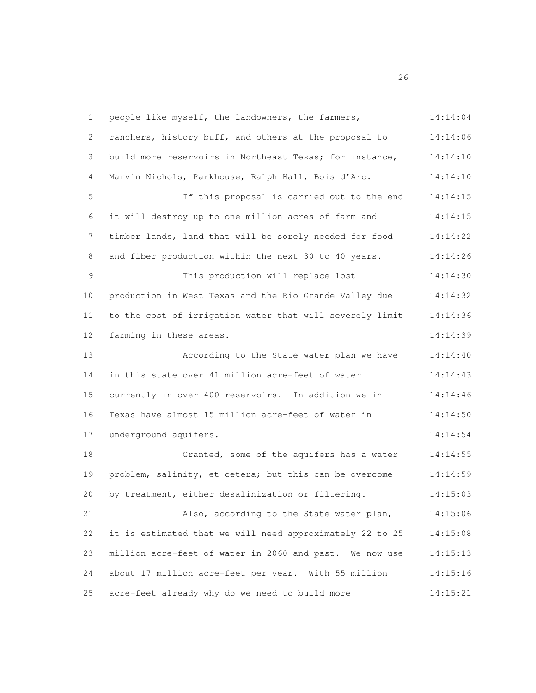people like myself, the landowners, the farmers, 14:14:04 ranchers, history buff, and others at the proposal to 14:14:06 build more reservoirs in Northeast Texas; for instance, 14:14:10 Marvin Nichols, Parkhouse, Ralph Hall, Bois d'Arc. 14:14:10 If this proposal is carried out to the end 14:14:15 it will destroy up to one million acres of farm and 14:14:15 timber lands, land that will be sorely needed for food 14:14:22 8 and fiber production within the next 30 to 40 years. 14:14:26 9 This production will replace lost 14:14:30 production in West Texas and the Rio Grande Valley due 14:14:32 to the cost of irrigation water that will severely limit 14:14:36 farming in these areas. 14:14:39 According to the State water plan we have 14:14:40 in this state over 41 million acre-feet of water 14:14:43 currently in over 400 reservoirs. In addition we in 14:14:46 Texas have almost 15 million acre-feet of water in 14:14:50 underground aquifers. 14:14:54 Granted, some of the aquifers has a water 14:14:55 problem, salinity, et cetera; but this can be overcome 14:14:59 by treatment, either desalinization or filtering. 14:15:03 Also, according to the State water plan, 14:15:06 it is estimated that we will need approximately 22 to 25 14:15:08 million acre-feet of water in 2060 and past. We now use 14:15:13 about 17 million acre-feet per year. With 55 million 14:15:16 acre-feet already why do we need to build more 14:15:21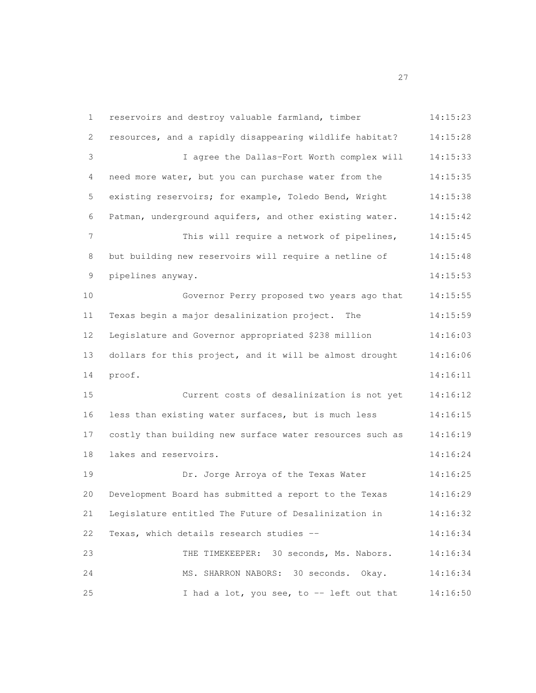reservoirs and destroy valuable farmland, timber 14:15:23 resources, and a rapidly disappearing wildlife habitat? 14:15:28 I agree the Dallas-Fort Worth complex will 14:15:33 need more water, but you can purchase water from the 14:15:35 existing reservoirs; for example, Toledo Bend, Wright 14:15:38 Patman, underground aquifers, and other existing water. 14:15:42 This will require a network of pipelines, 14:15:45 8 but building new reservoirs will require a netline of 14:15:48 pipelines anyway. 14:15:53 Governor Perry proposed two years ago that 14:15:55 Texas begin a major desalinization project. The 14:15:59 Legislature and Governor appropriated \$238 million 14:16:03 dollars for this project, and it will be almost drought 14:16:06 proof. 14:16:11 Current costs of desalinization is not yet 14:16:12 less than existing water surfaces, but is much less 14:16:15 costly than building new surface water resources such as 14:16:19 lakes and reservoirs. 14:16:24 Dr. Jorge Arroya of the Texas Water 14:16:25 Development Board has submitted a report to the Texas 14:16:29 Legislature entitled The Future of Desalinization in 14:16:32 Texas, which details research studies -- 14:16:34 THE TIMEKEEPER: 30 seconds, Ms. Nabors. 14:16:34 MS. SHARRON NABORS: 30 seconds. Okay. 14:16:34 25 1 had a lot, you see, to -- left out that 14:16:50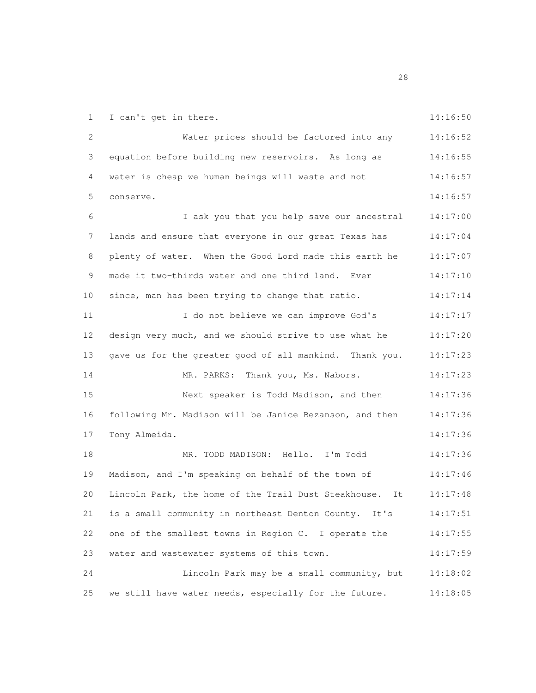1 I can't get in there. 14:16:50

| 2  | Water prices should be factored into any                   | 14:16:52 |
|----|------------------------------------------------------------|----------|
| 3  | equation before building new reservoirs. As long as        | 14:16:55 |
| 4  | water is cheap we human beings will waste and not          | 14:16:57 |
| 5  | conserve.                                                  | 14:16:57 |
| 6  | I ask you that you help save our ancestral                 | 14:17:00 |
| 7  | lands and ensure that everyone in our great Texas has      | 14:17:04 |
| 8  | plenty of water. When the Good Lord made this earth he     | 14:17:07 |
| 9  | made it two-thirds water and one third land.<br>Ever       | 14:17:10 |
| 10 | since, man has been trying to change that ratio.           | 14:17:14 |
| 11 | I do not believe we can improve God's                      | 14:17:17 |
| 12 | design very much, and we should strive to use what he      | 14:17:20 |
| 13 | gave us for the greater good of all mankind. Thank you.    | 14:17:23 |
| 14 | MR. PARKS: Thank you, Ms. Nabors.                          | 14:17:23 |
| 15 | Next speaker is Todd Madison, and then                     | 14:17:36 |
| 16 | following Mr. Madison will be Janice Bezanson, and then    | 14:17:36 |
| 17 | Tony Almeida.                                              | 14:17:36 |
| 18 | MR. TODD MADISON: Hello. I'm Todd                          | 14:17:36 |
| 19 | Madison, and I'm speaking on behalf of the town of         | 14:17:46 |
| 20 | Lincoln Park, the home of the Trail Dust Steakhouse.<br>It | 14:17:48 |
| 21 | is a small community in northeast Denton County.<br>It's   | 14:17:51 |
| 22 | one of the smallest towns in Region C. I operate the       | 14:17:55 |
| 23 | water and wastewater systems of this town.                 | 14:17:59 |
| 24 | Lincoln Park may be a small community, but                 | 14:18:02 |
| 25 | we still have water needs, especially for the future.      | 14:18:05 |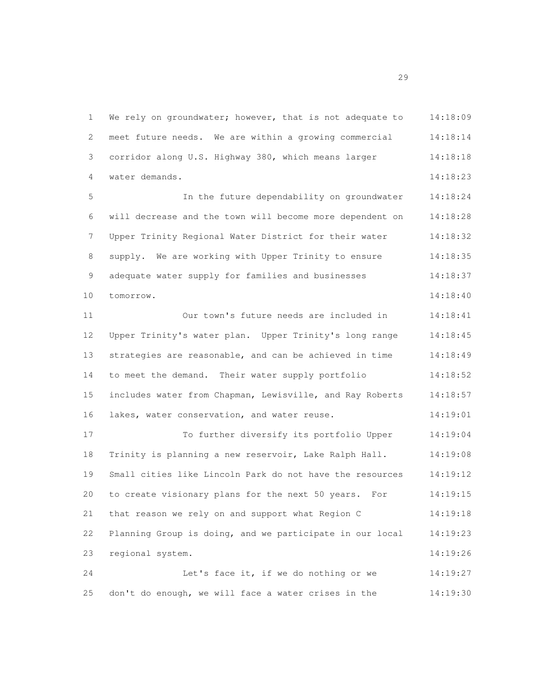We rely on groundwater; however, that is not adequate to 14:18:09 meet future needs. We are within a growing commercial 14:18:14 corridor along U.S. Highway 380, which means larger 14:18:18 water demands. 14:18:23 In the future dependability on groundwater 14:18:24 will decrease and the town will become more dependent on 14:18:28 Upper Trinity Regional Water District for their water 14:18:32 8 supply. We are working with Upper Trinity to ensure 14:18:35 9 adequate water supply for families and businesses 14:18:37 tomorrow. 14:18:40 Our town's future needs are included in 14:18:41 Upper Trinity's water plan. Upper Trinity's long range 14:18:45 strategies are reasonable, and can be achieved in time 14:18:49 to meet the demand. Their water supply portfolio 14:18:52 includes water from Chapman, Lewisville, and Ray Roberts 14:18:57 16 lakes, water conservation, and water reuse. 14:19:01 To further diversify its portfolio Upper 14:19:04 Trinity is planning a new reservoir, Lake Ralph Hall. 14:19:08 Small cities like Lincoln Park do not have the resources 14:19:12 to create visionary plans for the next 50 years. For 14:19:15 that reason we rely on and support what Region C 14:19:18 Planning Group is doing, and we participate in our local 14:19:23 regional system. 14:19:26 Let's face it, if we do nothing or we 14:19:27 don't do enough, we will face a water crises in the 14:19:30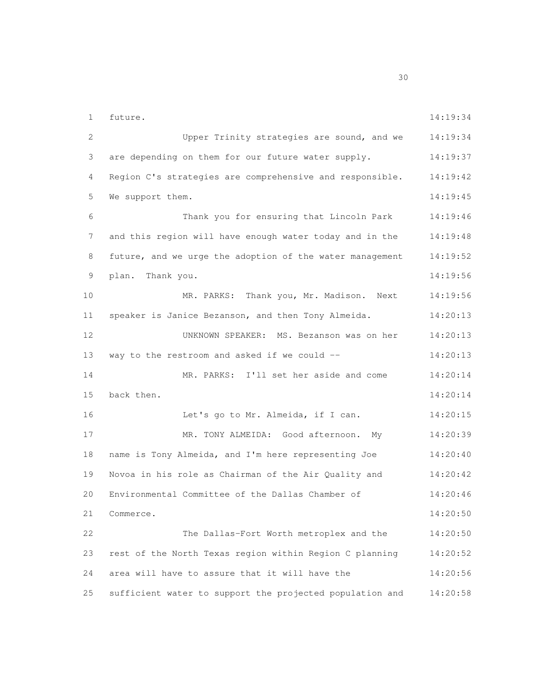future. 14:19:34 Upper Trinity strategies are sound, and we 14:19:34 3 are depending on them for our future water supply. 14:19:37 Region C's strategies are comprehensive and responsible. 14:19:42 5 We support them. 14:19:45 Thank you for ensuring that Lincoln Park 14:19:46 and this region will have enough water today and in the 14:19:48 8 future, and we urge the adoption of the water management 14:19:52 plan. Thank you. 14:19:56 MR. PARKS: Thank you, Mr. Madison. Next 14:19:56 speaker is Janice Bezanson, and then Tony Almeida. 14:20:13 UNKNOWN SPEAKER: MS. Bezanson was on her 14:20:13 way to the restroom and asked if we could -- 14:20:13 MR. PARKS: I'll set her aside and come 14:20:14 back then. 14:20:14 Let's go to Mr. Almeida, if I can. 14:20:15 MR. TONY ALMEIDA: Good afternoon. My 14:20:39 name is Tony Almeida, and I'm here representing Joe 14:20:40 Novoa in his role as Chairman of the Air Quality and 14:20:42 Environmental Committee of the Dallas Chamber of 14:20:46 Commerce. 14:20:50 The Dallas-Fort Worth metroplex and the 14:20:50 rest of the North Texas region within Region C planning 14:20:52 area will have to assure that it will have the 14:20:56 sufficient water to support the projected population and 14:20:58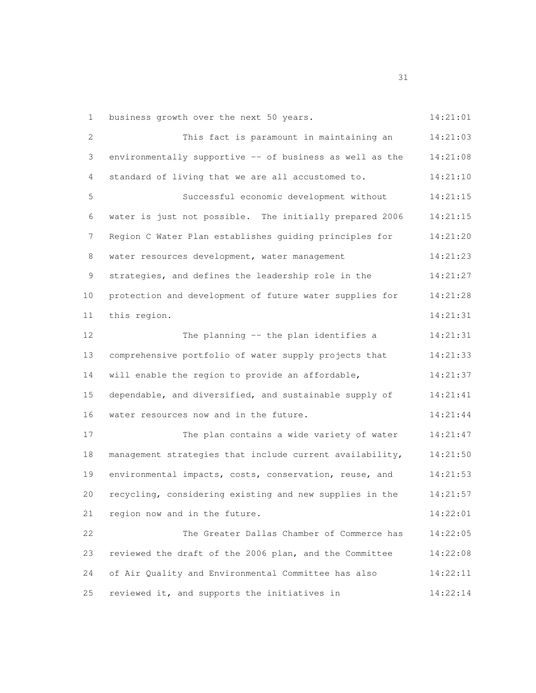1 business growth over the next 50 years. 14:21:01

| $\mathbf{2}$ | This fact is paramount in maintaining an                 | 14:21:03 |
|--------------|----------------------------------------------------------|----------|
| $\mathsf 3$  | environmentally supportive -- of business as well as the | 14:21:08 |
| 4            | standard of living that we are all accustomed to.        | 14:21:10 |
| 5            | Successful economic development without                  | 14:21:15 |
| 6            | water is just not possible. The initially prepared 2006  | 14:21:15 |
| 7            | Region C Water Plan establishes guiding principles for   | 14:21:20 |
| $\,8\,$      | water resources development, water management            | 14:21:23 |
| 9            | strategies, and defines the leadership role in the       | 14:21:27 |
| 10           | protection and development of future water supplies for  | 14:21:28 |
| 11           | this region.                                             | 14:21:31 |
| 12           | The planning -- the plan identifies a                    | 14:21:31 |
| 13           | comprehensive portfolio of water supply projects that    | 14:21:33 |
| 14           | will enable the region to provide an affordable,         | 14:21:37 |
| 15           | dependable, and diversified, and sustainable supply of   | 14:21:41 |
| 16           | water resources now and in the future.                   | 14:21:44 |
| 17           | The plan contains a wide variety of water                | 14:21:47 |
| 18           | management strategies that include current availability, | 14:21:50 |
| 19           | environmental impacts, costs, conservation, reuse, and   | 14:21:53 |
| 20           | recycling, considering existing and new supplies in the  | 14:21:57 |
| 21           | region now and in the future.                            | 14:22:01 |
| 22           | The Greater Dallas Chamber of Commerce has               | 14:22:05 |
| 23           | reviewed the draft of the 2006 plan, and the Committee   | 14:22:08 |
| 24           | of Air Quality and Environmental Committee has also      | 14:22:11 |
| 25           | reviewed it, and supports the initiatives in             | 14:22:14 |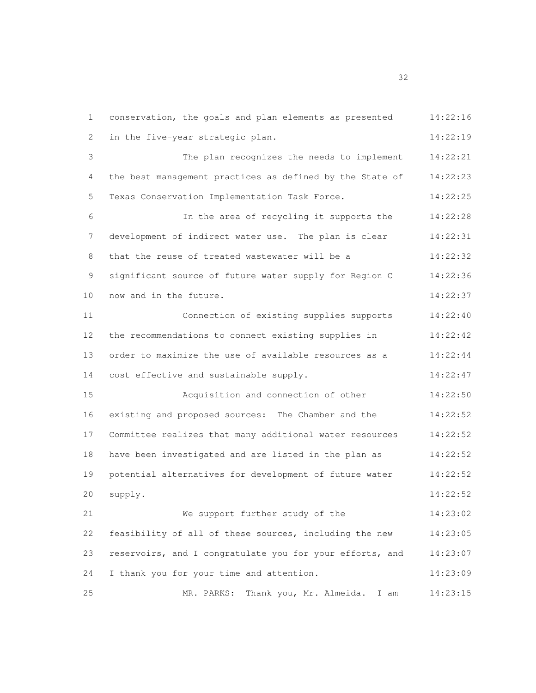conservation, the goals and plan elements as presented 14:22:16 2 in the five-year strategic plan. 14:22:19 The plan recognizes the needs to implement 14:22:21 4 the best management practices as defined by the State of 14:22:23 Texas Conservation Implementation Task Force. 14:22:25 In the area of recycling it supports the 14:22:28 development of indirect water use. The plan is clear 14:22:31 8 that the reuse of treated wastewater will be a 14:22:32 9 significant source of future water supply for Region C 14:22:36 10 now and in the future. 14:22:37 Connection of existing supplies supports 14:22:40 the recommendations to connect existing supplies in 14:22:42 order to maximize the use of available resources as a 14:22:44 14 cost effective and sustainable supply. 14:22:47 Acquisition and connection of other 14:22:50 existing and proposed sources: The Chamber and the 14:22:52 Committee realizes that many additional water resources 14:22:52 have been investigated and are listed in the plan as 14:22:52 potential alternatives for development of future water 14:22:52 supply. 14:22:52 We support further study of the 14:23:02 feasibility of all of these sources, including the new 14:23:05 reservoirs, and I congratulate you for your efforts, and 14:23:07 I thank you for your time and attention. 14:23:09 MR. PARKS: Thank you, Mr. Almeida. I am 14:23:15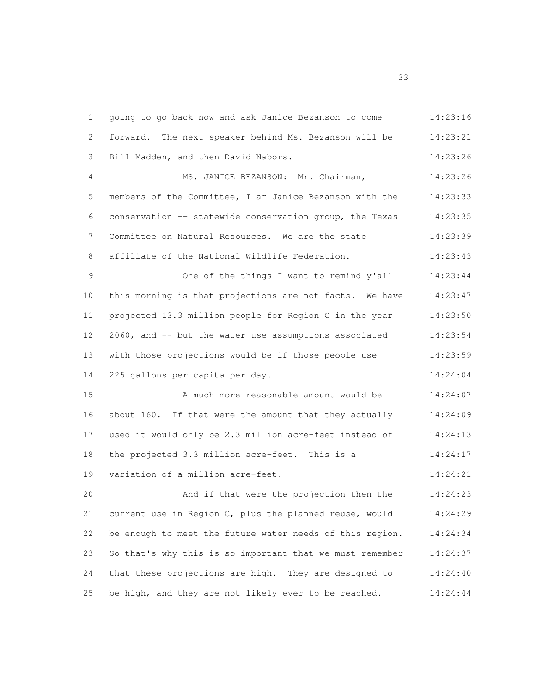| $\mathbf 1$     | going to go back now and ask Janice Bezanson to come     | 14:23:16 |
|-----------------|----------------------------------------------------------|----------|
| 2               | forward. The next speaker behind Ms. Bezanson will be    | 14:23:21 |
| 3               | Bill Madden, and then David Nabors.                      | 14:23:26 |
| 4               | MS. JANICE BEZANSON: Mr. Chairman,                       | 14:23:26 |
| 5               | members of the Committee, I am Janice Bezanson with the  | 14:23:33 |
| 6               | conservation -- statewide conservation group, the Texas  | 14:23:35 |
| 7               | Committee on Natural Resources. We are the state         | 14:23:39 |
| 8               | affiliate of the National Wildlife Federation.           | 14:23:43 |
| $\mathsf 9$     | One of the things I want to remind y'all                 | 14:23:44 |
| 10              | this morning is that projections are not facts. We have  | 14:23:47 |
| 11              | projected 13.3 million people for Region C in the year   | 14:23:50 |
| 12 <sup>°</sup> | 2060, and -- but the water use assumptions associated    | 14:23:54 |
| 13              | with those projections would be if those people use      | 14:23:59 |
| 14              | 225 gallons per capita per day.                          | 14:24:04 |
| 15              | A much more reasonable amount would be                   | 14:24:07 |
| 16              | about 160. If that were the amount that they actually    | 14:24:09 |
| 17              | used it would only be 2.3 million acre-feet instead of   | 14:24:13 |
| 18              | the projected 3.3 million acre-feet. This is a           | 14:24:17 |
| 19              | variation of a million acre-feet.                        | 14:24:21 |
| 20              | And if that were the projection then the                 | 14:24:23 |
| 21              | current use in Region C, plus the planned reuse, would   | 14:24:29 |
| 22              | be enough to meet the future water needs of this region. | 14:24:34 |
| 23              | So that's why this is so important that we must remember | 14:24:37 |
| 24              | that these projections are high. They are designed to    | 14:24:40 |
| 25              | be high, and they are not likely ever to be reached.     | 14:24:44 |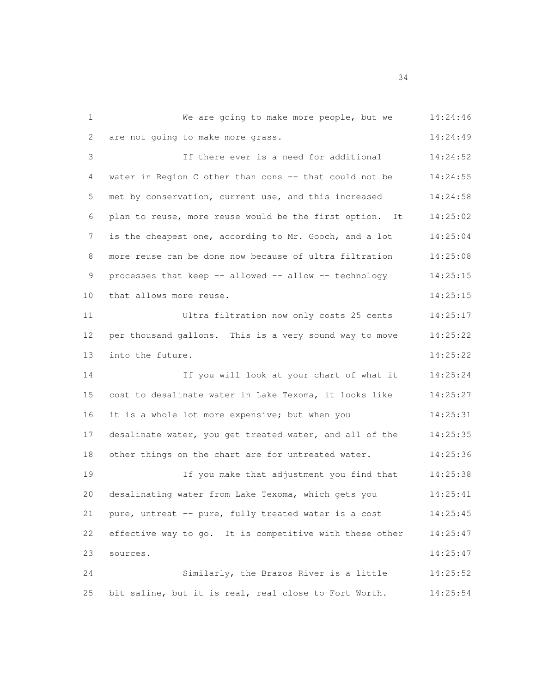We are going to make more people, but we 14:24:46 2 are not going to make more grass. 14:24:49 If there ever is a need for additional 14:24:52 4 water in Region C other than cons -- that could not be 14:24:55 met by conservation, current use, and this increased 14:24:58 plan to reuse, more reuse would be the first option. It 14:25:02 7 is the cheapest one, according to Mr. Gooch, and a lot 14:25:04 more reuse can be done now because of ultra filtration 14:25:08 processes that keep -- allowed -- allow -- technology 14:25:15 10 that allows more reuse. The set of the set of the set of the set of the set of the set of the set of the set of the set of the set of the set of the set of the set of the set of the set of the set of the set of the set Ultra filtration now only costs 25 cents 14:25:17 per thousand gallons. This is a very sound way to move 14:25:22 into the future. 14:25:22 If you will look at your chart of what it 14:25:24 cost to desalinate water in Lake Texoma, it looks like 14:25:27 it is a whole lot more expensive; but when you 14:25:31 desalinate water, you get treated water, and all of the 14:25:35 18 other things on the chart are for untreated water. 14:25:36 If you make that adjustment you find that 14:25:38 desalinating water from Lake Texoma, which gets you 14:25:41 pure, untreat -- pure, fully treated water is a cost 14:25:45 effective way to go. It is competitive with these other 14:25:47 sources. 14:25:47 Similarly, the Brazos River is a little 14:25:52 bit saline, but it is real, real close to Fort Worth. 14:25:54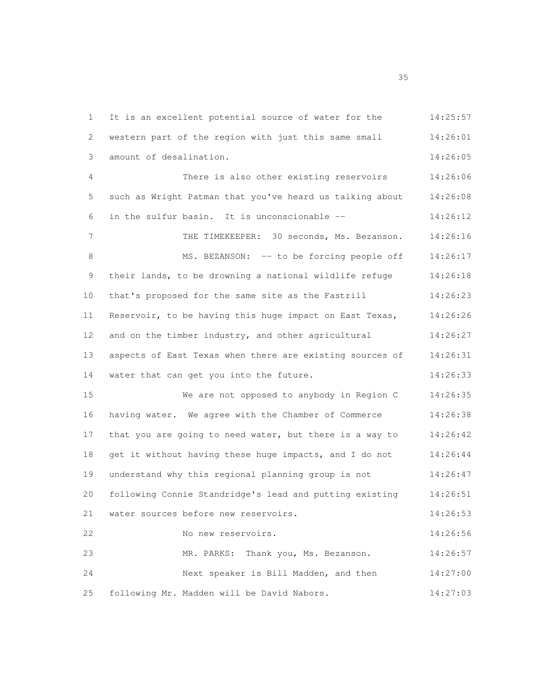It is an excellent potential source of water for the 14:25:57 western part of the region with just this same small 14:26:01 amount of desalination. 14:26:05 There is also other existing reservoirs 14:26:06 such as Wright Patman that you've heard us talking about 14:26:08 in the sulfur basin. It is unconscionable -- 14:26:12 THE TIMEKEEPER: 30 seconds, Ms. Bezanson. 14:26:16 8 MS. BEZANSON: -- to be forcing people off 14:26:17 their lands, to be drowning a national wildlife refuge 14:26:18 that's proposed for the same site as the Fastrill 14:26:23 Reservoir, to be having this huge impact on East Texas, 14:26:26 12 and on the timber industry, and other agricultural 14:26:27 aspects of East Texas when there are existing sources of 14:26:31 14 water that can get you into the future. 14:26:33 We are not opposed to anybody in Region C 14:26:35 having water. We agree with the Chamber of Commerce 14:26:38 17 that you are going to need water, but there is a way to 14:26:42 18 get it without having these huge impacts, and I do not 14:26:44 understand why this regional planning group is not 14:26:47 following Connie Standridge's lead and putting existing 14:26:51 water sources before new reservoirs. 14:26:53 No new reservoirs. 14:26:56 MR. PARKS: Thank you, Ms. Bezanson. 14:26:57 Next speaker is Bill Madden, and then 14:27:00 following Mr. Madden will be David Nabors. 14:27:03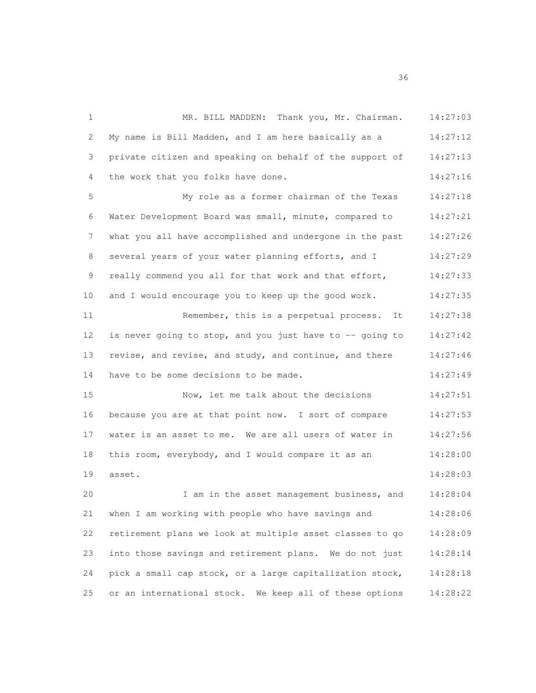MR. BILL MADDEN: Thank you, Mr. Chairman. 14:27:03 My name is Bill Madden, and I am here basically as a 14:27:12 3 private citizen and speaking on behalf of the support of 14:27:13 the work that you folks have done. 14:27:16 My role as a former chairman of the Texas 14:27:18 Water Development Board was small, minute, compared to 14:27:21 what you all have accomplished and undergone in the past 14:27:26 8 several years of your water planning efforts, and I 14:27:29 really commend you all for that work and that effort, 14:27:33 and I would encourage you to keep up the good work. 14:27:35 11 Remember, this is a perpetual process. It 14:27:38 12 is never going to stop, and you just have to -- going to 14:27:42 revise, and revise, and study, and continue, and there 14:27:46 14 have to be some decisions to be made. 14:27:49 Now, let me talk about the decisions 14:27:51 because you are at that point now. I sort of compare 14:27:53 water is an asset to me. We are all users of water in 14:27:56 this room, everybody, and I would compare it as an 14:28:00 asset. 14:28:03 I am in the asset management business, and 14:28:04 when I am working with people who have savings and 14:28:06 retirement plans we look at multiple asset classes to go 14:28:09 into those savings and retirement plans. We do not just 14:28:14 pick a small cap stock, or a large capitalization stock, 14:28:18 or an international stock. We keep all of these options 14:28:22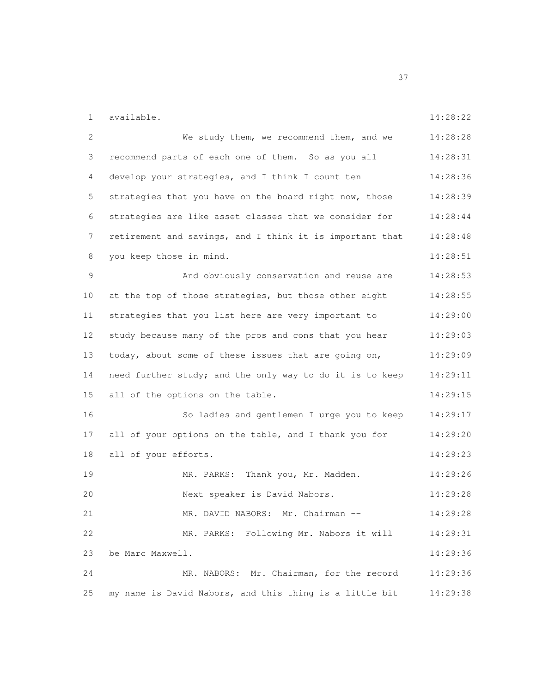available. 14:28:22

| $\mathbf{2}$ | We study them, we recommend them, and we                 | 14:28:28 |
|--------------|----------------------------------------------------------|----------|
| 3            | recommend parts of each one of them. So as you all       | 14:28:31 |
| 4            | develop your strategies, and I think I count ten         | 14:28:36 |
| 5            | strategies that you have on the board right now, those   | 14:28:39 |
| 6            | strategies are like asset classes that we consider for   | 14:28:44 |
| 7            | retirement and savings, and I think it is important that | 14:28:48 |
| 8            | you keep those in mind.                                  | 14:28:51 |
| 9            | And obviously conservation and reuse are                 | 14:28:53 |
| 10           | at the top of those strategies, but those other eight    | 14:28:55 |
| 11           | strategies that you list here are very important to      | 14:29:00 |
| 12           | study because many of the pros and cons that you hear    | 14:29:03 |
| 13           | today, about some of these issues that are going on,     | 14:29:09 |
| 14           | need further study; and the only way to do it is to keep | 14:29:11 |
| 15           | all of the options on the table.                         | 14:29:15 |
| 16           | So ladies and gentlemen I urge you to keep               | 14:29:17 |
| 17           | all of your options on the table, and I thank you for    | 14:29:20 |
| 18           | all of your efforts.                                     | 14:29:23 |
| 19           | MR. PARKS: Thank you, Mr. Madden.                        | 14:29:26 |
| 20           | Next speaker is David Nabors.                            | 14:29:28 |
| 21           | MR. DAVID NABORS: Mr. Chairman --                        | 14:29:28 |
| 22           | MR. PARKS: Following Mr. Nabors it will                  | 14:29:31 |
| 23           | be Marc Maxwell.                                         | 14:29:36 |
| 24           | MR. NABORS: Mr. Chairman, for the record                 | 14:29:36 |
| 25           | my name is David Nabors, and this thing is a little bit  | 14:29:38 |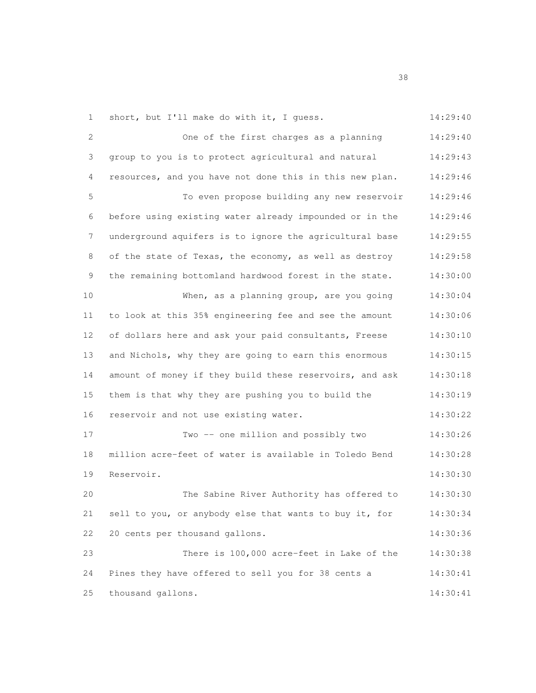1 short, but I'll make do with it, I quess. 14:29:40

2 One of the first charges as a planning 14:29:40 group to you is to protect agricultural and natural 14:29:43 resources, and you have not done this in this new plan. 14:29:46 To even propose building any new reservoir 14:29:46 before using existing water already impounded or in the 14:29:46 underground aquifers is to ignore the agricultural base 14:29:55 of the state of Texas, the economy, as well as destroy 14:29:58 the remaining bottomland hardwood forest in the state. 14:30:00 When, as a planning group, are you going 14:30:04 to look at this 35% engineering fee and see the amount 14:30:06 of dollars here and ask your paid consultants, Freese 14:30:10 and Nichols, why they are going to earn this enormous 14:30:15 amount of money if they build these reservoirs, and ask 14:30:18 them is that why they are pushing you to build the 14:30:19 reservoir and not use existing water. 14:30:22 Two -- one million and possibly two 14:30:26 million acre-feet of water is available in Toledo Bend 14:30:28 Reservoir. 14:30:30 The Sabine River Authority has offered to 14:30:30 sell to you, or anybody else that wants to buy it, for 14:30:34 20 cents per thousand gallons. 14:30:36 There is 100,000 acre-feet in Lake of the 14:30:38 Pines they have offered to sell you for 38 cents a 14:30:41 thousand gallons. 14:30:41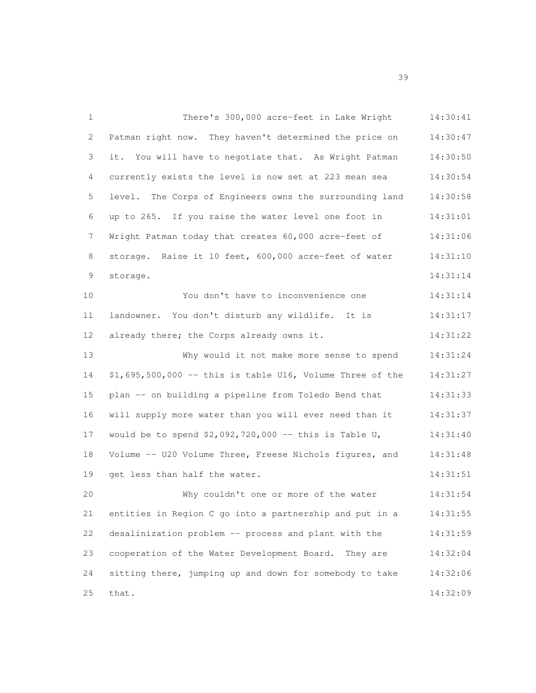| $\mathbf{1}$ | There's 300,000 acre-feet in Lake Wright                   | 14:30:41 |
|--------------|------------------------------------------------------------|----------|
| 2            | Patman right now. They haven't determined the price on     | 14:30:47 |
| 3            | it. You will have to negotiate that. As Wright Patman      | 14:30:50 |
| 4            | currently exists the level is now set at 223 mean sea      | 14:30:54 |
| 5            | level. The Corps of Engineers owns the surrounding land    | 14:30:58 |
| 6            | up to 265. If you raise the water level one foot in        | 14:31:01 |
| 7            | Wright Patman today that creates 60,000 acre-feet of       | 14:31:06 |
| 8            | storage. Raise it 10 feet, 600,000 acre-feet of water      | 14:31:10 |
| 9            | storage.                                                   | 14:31:14 |
| 10           | You don't have to inconvenience one                        | 14:31:14 |
| 11           | landowner. You don't disturb any wildlife. It is           | 14:31:17 |
| 12           | already there; the Corps already owns it.                  | 14:31:22 |
| 13           | Why would it not make more sense to spend                  | 14:31:24 |
| 14           | $$1,695,500,000$ -- this is table U16, Volume Three of the | 14:31:27 |
| 15           | plan -- on building a pipeline from Toledo Bend that       | 14:31:33 |
| 16           | will supply more water than you will ever need than it     | 14:31:37 |
| 17           | would be to spend $$2,092,720,000$ -- this is Table U,     | 14:31:40 |
| 18           | Volume -- U20 Volume Three, Freese Nichols figures, and    | 14:31:48 |
| 19           | get less than half the water.                              | 14:31:51 |
| 20           | Why couldn't one or more of the water                      | 14:31:54 |
| 21           | entities in Region C go into a partnership and put in a    | 14:31:55 |
| 22           | desalinization problem -- process and plant with the       | 14:31:59 |
| 23           | cooperation of the Water Development Board.<br>They are    | 14:32:04 |
| 24           | sitting there, jumping up and down for somebody to take    | 14:32:06 |
| 25           | that.                                                      | 14:32:09 |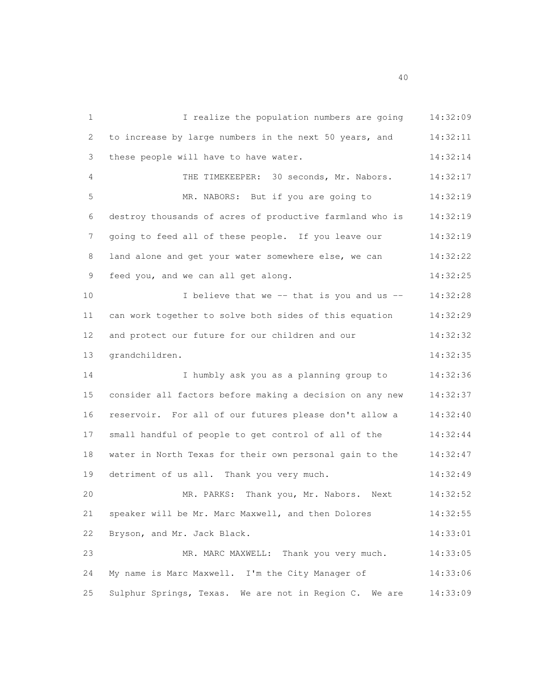1 I realize the population numbers are going 14:32:09 to increase by large numbers in the next 50 years, and 14:32:11 these people will have to have water. 14:32:14 THE TIMEKEEPER: 30 seconds, Mr. Nabors. 14:32:17 MR. NABORS: But if you are going to 14:32:19 destroy thousands of acres of productive farmland who is 14:32:19 7 going to feed all of these people. If you leave our 14:32:19 8 land alone and get your water somewhere else, we can 14:32:22 9 feed you, and we can all get along. 14:32:25 10 I believe that we -- that is you and us -- 14:32:28 can work together to solve both sides of this equation 14:32:29 and protect our future for our children and our 14:32:32 grandchildren. 14:32:35 I humbly ask you as a planning group to 14:32:36 consider all factors before making a decision on any new 14:32:37 reservoir. For all of our futures please don't allow a 14:32:40 small handful of people to get control of all of the 14:32:44 water in North Texas for their own personal gain to the 14:32:47 detriment of us all. Thank you very much. 14:32:49 MR. PARKS: Thank you, Mr. Nabors. Next 14:32:52 speaker will be Mr. Marc Maxwell, and then Dolores 14:32:55 Bryson, and Mr. Jack Black. 14:33:01 23 MR. MARC MAXWELL: Thank you very much. 14:33:05 My name is Marc Maxwell. I'm the City Manager of 14:33:06 Sulphur Springs, Texas. We are not in Region C. We are 14:33:09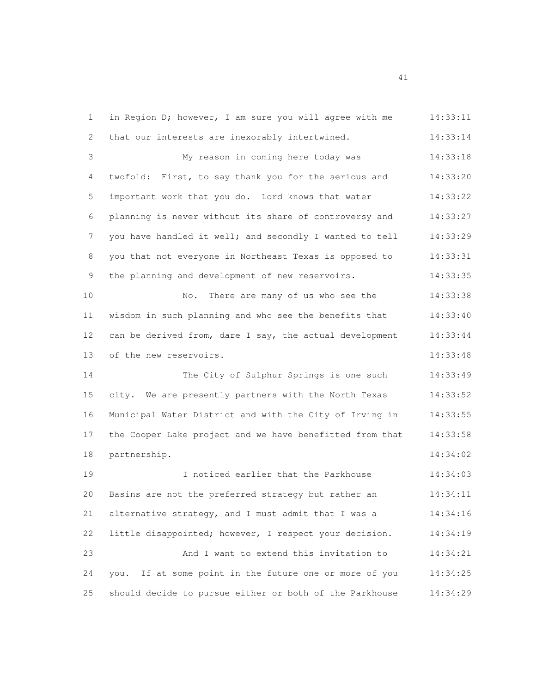1 in Region D; however, I am sure you will agree with me 14:33:11 that our interests are inexorably intertwined. 14:33:14 My reason in coming here today was 14:33:18 twofold: First, to say thank you for the serious and 14:33:20 important work that you do. Lord knows that water 14:33:22 planning is never without its share of controversy and 14:33:27 7 you have handled it well; and secondly I wanted to tell 14:33:29 you that not everyone in Northeast Texas is opposed to 14:33:31 9 the planning and development of new reservoirs. 14:33:35 No. There are many of us who see the 14:33:38 wisdom in such planning and who see the benefits that 14:33:40 can be derived from, dare I say, the actual development 14:33:44 13 of the new reservoirs. 14:33:48 The City of Sulphur Springs is one such 14:33:49 city. We are presently partners with the North Texas 14:33:52 Municipal Water District and with the City of Irving in 14:33:55 17 the Cooper Lake project and we have benefitted from that 14:33:58 partnership. 14:34:02 I noticed earlier that the Parkhouse 14:34:03 Basins are not the preferred strategy but rather an 14:34:11 alternative strategy, and I must admit that I was a 14:34:16 little disappointed; however, I respect your decision. 14:34:19 And I want to extend this invitation to 14:34:21 you. If at some point in the future one or more of you 14:34:25 should decide to pursue either or both of the Parkhouse 14:34:29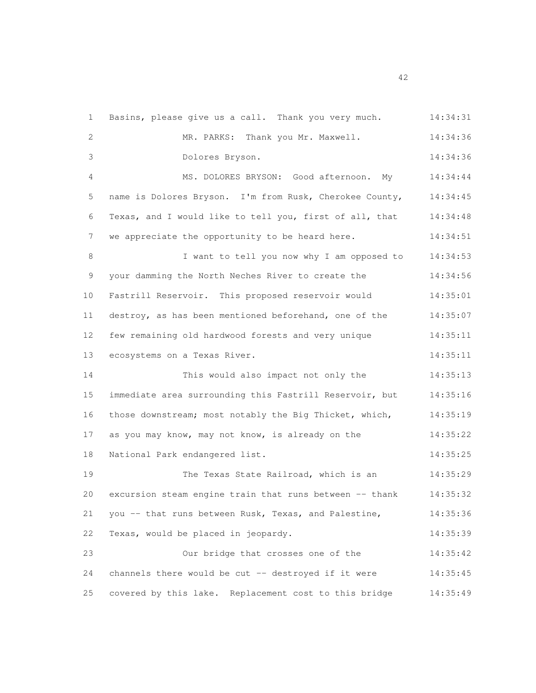| $\mathbf{1}$ | Basins, please give us a call. Thank you very much.     | 14:34:31 |
|--------------|---------------------------------------------------------|----------|
| 2            | MR. PARKS: Thank you Mr. Maxwell.                       | 14:34:36 |
| 3            | Dolores Bryson.                                         | 14:34:36 |
| 4            | MS. DOLORES BRYSON: Good afternoon. My                  | 14:34:44 |
| 5            | name is Dolores Bryson. I'm from Rusk, Cherokee County, | 14:34:45 |
| 6            | Texas, and I would like to tell you, first of all, that | 14:34:48 |
| 7            | we appreciate the opportunity to be heard here.         | 14:34:51 |
| 8            | I want to tell you now why I am opposed to              | 14:34:53 |
| 9            | your damming the North Neches River to create the       | 14:34:56 |
| 10           | Fastrill Reservoir. This proposed reservoir would       | 14:35:01 |
| 11           | destroy, as has been mentioned beforehand, one of the   | 14:35:07 |
| 12           | few remaining old hardwood forests and very unique      | 14:35:11 |
| 13           | ecosystems on a Texas River.                            | 14:35:11 |
| 14           | This would also impact not only the                     | 14:35:13 |
| 15           | immediate area surrounding this Fastrill Reservoir, but | 14:35:16 |
| 16           | those downstream; most notably the Big Thicket, which,  | 14:35:19 |
| 17           | as you may know, may not know, is already on the        | 14:35:22 |
| 18           | National Park endangered list.                          | 14:35:25 |
| 19           | The Texas State Railroad, which is an                   | 14:35:29 |
| 20           | excursion steam engine train that runs between -- thank | 14:35:32 |
| 21           | you -- that runs between Rusk, Texas, and Palestine,    | 14:35:36 |
| 22           | Texas, would be placed in jeopardy.                     | 14:35:39 |
| 23           | Our bridge that crosses one of the                      | 14:35:42 |
| 24           | channels there would be cut -- destroyed if it were     | 14:35:45 |
| 25           | covered by this lake. Replacement cost to this bridge   | 14:35:49 |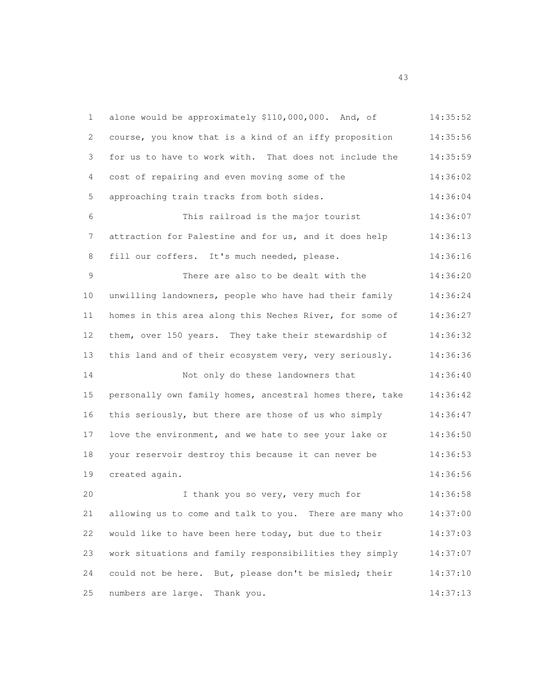1 alone would be approximately \$110,000,000. And, of 14:35:52 course, you know that is a kind of an iffy proposition 14:35:56 for us to have to work with. That does not include the 14:35:59 cost of repairing and even moving some of the 14:36:02 approaching train tracks from both sides. 14:36:04 This railroad is the major tourist 14:36:07 attraction for Palestine and for us, and it does help 14:36:13 8 fill our coffers. It's much needed, please. 14:36:16 There are also to be dealt with the 14:36:20 unwilling landowners, people who have had their family 14:36:24 homes in this area along this Neches River, for some of 14:36:27 them, over 150 years. They take their stewardship of 14:36:32 this land and of their ecosystem very, very seriously. 14:36:36 14 Not only do these landowners that 14:36:40 personally own family homes, ancestral homes there, take 14:36:42 this seriously, but there are those of us who simply 14:36:47 love the environment, and we hate to see your lake or 14:36:50 your reservoir destroy this because it can never be 14:36:53 created again. 14:36:56 I thank you so very, very much for 14:36:58 allowing us to come and talk to you. There are many who 14:37:00 would like to have been here today, but due to their 14:37:03 work situations and family responsibilities they simply 14:37:07 could not be here. But, please don't be misled; their 14:37:10 25 numbers are large. Thank you. 14:37:13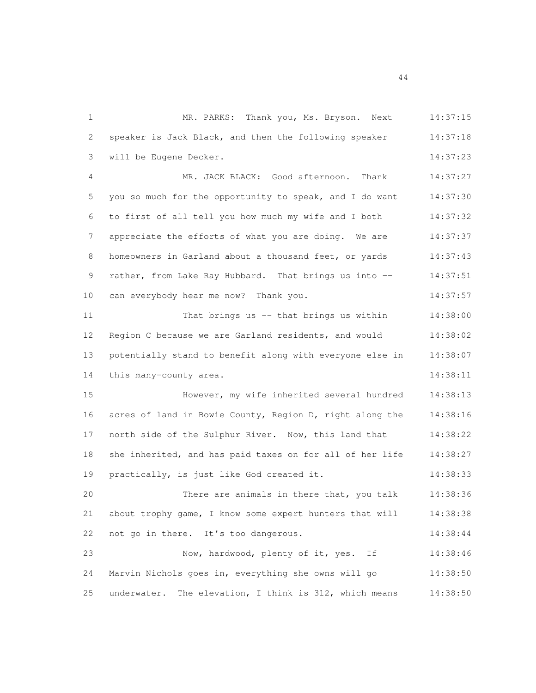1 MR. PARKS: Thank you, Ms. Bryson. Next 14:37:15 speaker is Jack Black, and then the following speaker 14:37:18 will be Eugene Decker. 14:37:23 MR. JACK BLACK: Good afternoon. Thank 14:37:27 you so much for the opportunity to speak, and I do want 14:37:30 to first of all tell you how much my wife and I both 14:37:32 7 appreciate the efforts of what you are doing. We are 14:37:37 8 homeowners in Garland about a thousand feet, or yards 14:37:43 9 rather, from Lake Ray Hubbard. That brings us into -- 14:37:51 10 can everybody hear me now? Thank you. 14:37:57 11 That brings us -- that brings us within 14:38:00 Region C because we are Garland residents, and would 14:38:02 potentially stand to benefit along with everyone else in 14:38:07 14 this many-county area. 14:38:11 However, my wife inherited several hundred 14:38:13 acres of land in Bowie County, Region D, right along the 14:38:16 north side of the Sulphur River. Now, this land that 14:38:22 she inherited, and has paid taxes on for all of her life 14:38:27 practically, is just like God created it. 14:38:33 There are animals in there that, you talk 14:38:36 about trophy game, I know some expert hunters that will 14:38:38 22 not go in there. It's too dangerous. 14:38:44 Now, hardwood, plenty of it, yes. If 14:38:46 Marvin Nichols goes in, everything she owns will go 14:38:50 underwater. The elevation, I think is 312, which means 14:38:50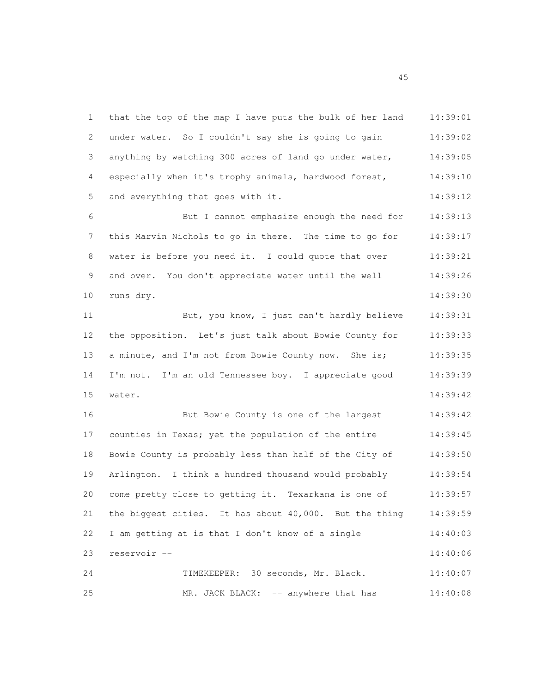1 that the top of the map I have puts the bulk of her land 14:39:01 under water. So I couldn't say she is going to gain 14:39:02 anything by watching 300 acres of land go under water, 14:39:05 especially when it's trophy animals, hardwood forest, 14:39:10 5 and everything that goes with it. 14:39:12 But I cannot emphasize enough the need for 14:39:13 this Marvin Nichols to go in there. The time to go for 14:39:17 8 water is before you need it. I could quote that over 14:39:21 9 and over. You don't appreciate water until the well  $14:39:26$  runs dry. 14:39:30 But, you know, I just can't hardly believe 14:39:31 the opposition. Let's just talk about Bowie County for 14:39:33 13 a minute, and I'm not from Bowie County now. She is; 14:39:35 I'm not. I'm an old Tennessee boy. I appreciate good 14:39:39 water. 14:39:42 But Bowie County is one of the largest 14:39:42 17 counties in Texas; yet the population of the entire 14:39:45 Bowie County is probably less than half of the City of 14:39:50 Arlington. I think a hundred thousand would probably 14:39:54 come pretty close to getting it. Texarkana is one of 14:39:57 the biggest cities. It has about 40,000. But the thing 14:39:59 I am getting at is that I don't know of a single 14:40:03 reservoir -- 14:40:06 TIMEKEEPER: 30 seconds, Mr. Black. 14:40:07 25 MR. JACK BLACK:  $--$  anywhere that has  $14:40:08$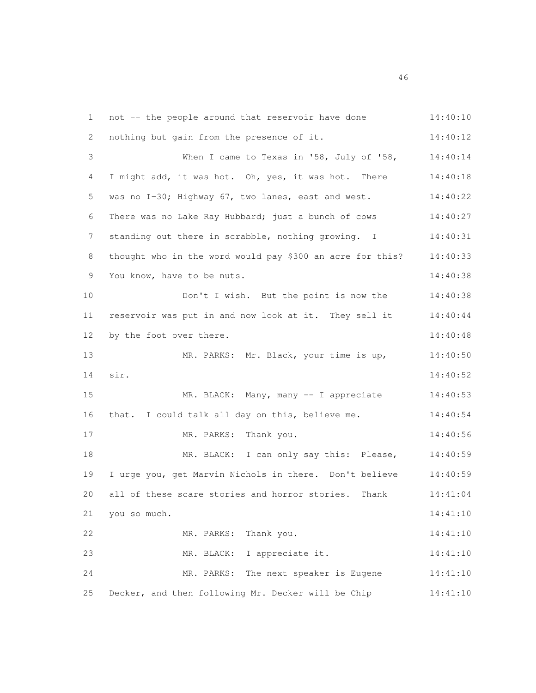1 not -- the people around that reservoir have done 14:40:10 2 nothing but gain from the presence of it. 14:40:12 3 When I came to Texas in '58, July of '58, 14:40:14 I might add, it was hot. Oh, yes, it was hot. There 14:40:18 was no I-30; Highway 67, two lanes, east and west. 14:40:22 There was no Lake Ray Hubbard; just a bunch of cows 14:40:27 7 standing out there in scrabble, nothing growing. I 14:40:31 thought who in the word would pay \$300 an acre for this? 14:40:33 You know, have to be nuts. 14:40:38 10 Don't I wish. But the point is now the 14:40:38 reservoir was put in and now look at it. They sell it 14:40:44 12 by the foot over there. 14:40:48 13 MR. PARKS: Mr. Black, your time is up, 14:40:50 sir. 14:40:52 MR. BLACK: Many, many -- I appreciate 14:40:53 that. I could talk all day on this, believe me. 14:40:54 MR. PARKS: Thank you. 14:40:56 MR. BLACK: I can only say this: Please, 14:40:59 I urge you, get Marvin Nichols in there. Don't believe 14:40:59 all of these scare stories and horror stories. Thank 14:41:04 you so much. 14:41:10 MR. PARKS: Thank you. 14:41:10 MR. BLACK: I appreciate it. 14:41:10 MR. PARKS: The next speaker is Eugene 14:41:10 Decker, and then following Mr. Decker will be Chip 14:41:10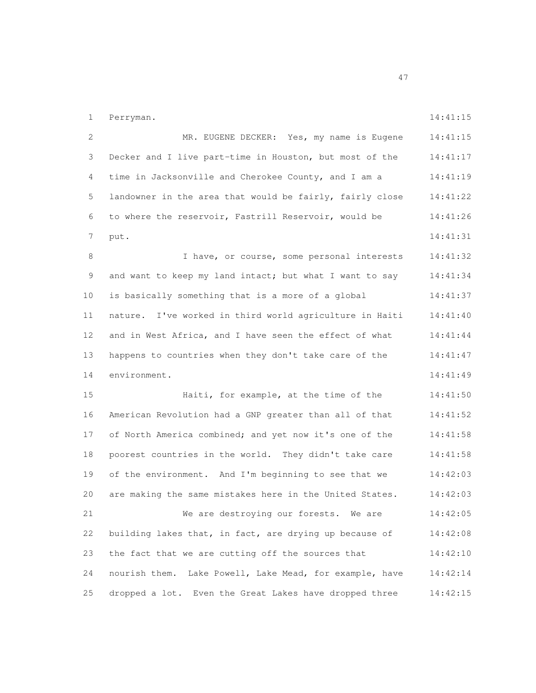1 Perryman. 14:41:15

| 2  | MR. EUGENE DECKER: Yes, my name is Eugene                | 14:41:15 |
|----|----------------------------------------------------------|----------|
| 3  | Decker and I live part-time in Houston, but most of the  | 14:41:17 |
| 4  | time in Jacksonville and Cherokee County, and I am a     | 14:41:19 |
| 5  | landowner in the area that would be fairly, fairly close | 14:41:22 |
| 6  | to where the reservoir, Fastrill Reservoir, would be     | 14:41:26 |
| 7  | put.                                                     | 14:41:31 |
| 8  | I have, or course, some personal interests               | 14:41:32 |
| 9  | and want to keep my land intact; but what I want to say  | 14:41:34 |
| 10 | is basically something that is a more of a global        | 14:41:37 |
| 11 | nature. I've worked in third world agriculture in Haiti  | 14:41:40 |
| 12 | and in West Africa, and I have seen the effect of what   | 14:41:44 |
| 13 | happens to countries when they don't take care of the    | 14:41:47 |
| 14 | environment.                                             | 14:41:49 |
| 15 | Haiti, for example, at the time of the                   | 14:41:50 |
| 16 | American Revolution had a GNP greater than all of that   | 14:41:52 |
| 17 | of North America combined; and yet now it's one of the   | 14:41:58 |
| 18 | poorest countries in the world. They didn't take care    | 14:41:58 |
| 19 | of the environment. And I'm beginning to see that we     | 14:42:03 |
| 20 | are making the same mistakes here in the United States.  | 14:42:03 |
| 21 | We are destroying our forests. We are                    | 14:42:05 |
| 22 | building lakes that, in fact, are drying up because of   | 14:42:08 |
| 23 | the fact that we are cutting off the sources that        | 14:42:10 |
| 24 | nourish them. Lake Powell, Lake Mead, for example, have  | 14:42:14 |
| 25 | dropped a lot. Even the Great Lakes have dropped three   | 14:42:15 |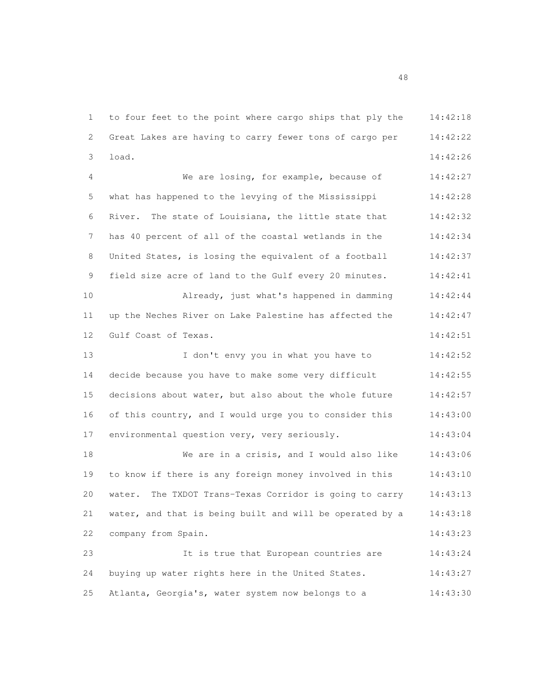to four feet to the point where cargo ships that ply the 14:42:18 Great Lakes are having to carry fewer tons of cargo per 14:42:22 load. 14:42:26 We are losing, for example, because of 14:42:27 what has happened to the levying of the Mississippi 14:42:28 River. The state of Louisiana, the little state that 14:42:32 7 has 40 percent of all of the coastal wetlands in the  $14:42:34$ 8 United States, is losing the equivalent of a football 14:42:37 field size acre of land to the Gulf every 20 minutes. 14:42:41 Already, just what's happened in damming 14:42:44 up the Neches River on Lake Palestine has affected the 14:42:47 Gulf Coast of Texas. 14:42:51 I don't envy you in what you have to 14:42:52 decide because you have to make some very difficult 14:42:55 decisions about water, but also about the whole future 14:42:57 of this country, and I would urge you to consider this 14:43:00 environmental question very, very seriously. 14:43:04 We are in a crisis, and I would also like 14:43:06 to know if there is any foreign money involved in this 14:43:10 water. The TXDOT Trans-Texas Corridor is going to carry 14:43:13 water, and that is being built and will be operated by a 14:43:18 company from Spain. 14:43:23 It is true that European countries are 14:43:24 buying up water rights here in the United States. 14:43:27 Atlanta, Georgia's, water system now belongs to a 14:43:30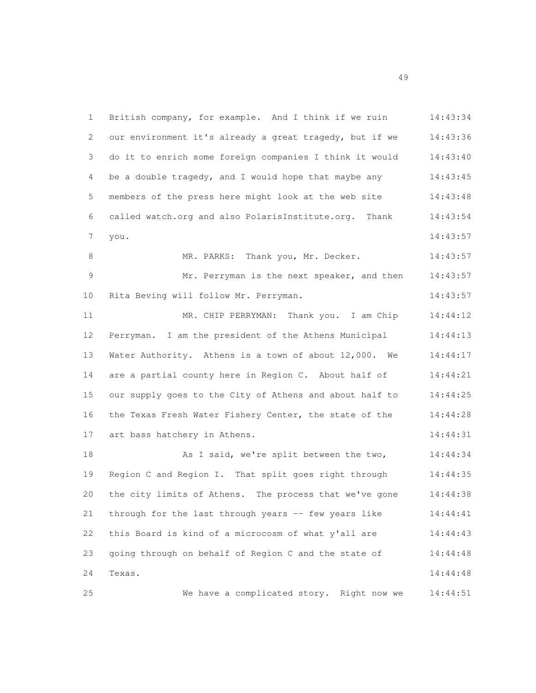| 1           | British company, for example. And I think if we ruin    | 14:43:34 |
|-------------|---------------------------------------------------------|----------|
| 2           | our environment it's already a great tragedy, but if we | 14:43:36 |
| 3           | do it to enrich some foreign companies I think it would | 14:43:40 |
| 4           | be a double tragedy, and I would hope that maybe any    | 14:43:45 |
| 5           | members of the press here might look at the web site    | 14:43:48 |
| 6           | called watch.org and also PolarisInstitute.org. Thank   | 14:43:54 |
| 7           | you.                                                    | 14:43:57 |
| 8           | MR. PARKS: Thank you, Mr. Decker.                       | 14:43:57 |
| $\mathsf 9$ | Mr. Perryman is the next speaker, and then              | 14:43:57 |
| 10          | Rita Beving will follow Mr. Perryman.                   | 14:43:57 |
| 11          | MR. CHIP PERRYMAN: Thank you. I am Chip                 | 14:44:12 |
| 12          | Perryman. I am the president of the Athens Municipal    | 14:44:13 |
| 13          | Water Authority. Athens is a town of about 12,000. We   | 14:44:17 |
| 14          | are a partial county here in Region C. About half of    | 14:44:21 |
| 15          | our supply goes to the City of Athens and about half to | 14:44:25 |
| 16          | the Texas Fresh Water Fishery Center, the state of the  | 14:44:28 |
| 17          | art bass hatchery in Athens.                            | 14:44:31 |
| 18          | As I said, we're split between the two,                 | 14:44:34 |
| 19          | Region C and Region I. That split goes right through    | 14:44:35 |
| 20          | the city limits of Athens. The process that we've gone  | 14:44:38 |
| 21          | through for the last through years -- few years like    | 14:44:41 |
| 22          | this Board is kind of a microcosm of what y'all are     | 14:44:43 |
| 23          | going through on behalf of Region C and the state of    | 14:44:48 |
| 24          | Texas.                                                  | 14:44:48 |
| 25          | We have a complicated story. Right now we               | 14:44:51 |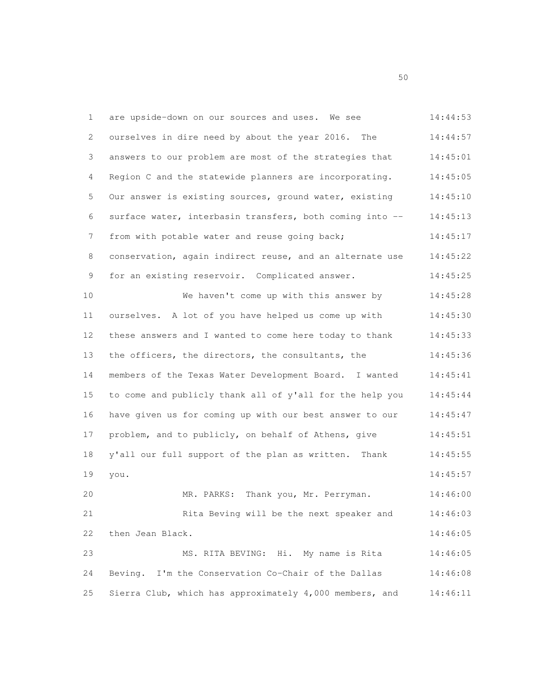| 1  | are upside-down on our sources and uses. We see          | 14:44:53 |
|----|----------------------------------------------------------|----------|
| 2  | ourselves in dire need by about the year 2016.<br>The    | 14:44:57 |
| 3  | answers to our problem are most of the strategies that   | 14:45:01 |
| 4  | Region C and the statewide planners are incorporating.   | 14:45:05 |
| 5  | Our answer is existing sources, ground water, existing   | 14:45:10 |
| 6  | surface water, interbasin transfers, both coming into -- | 14:45:13 |
| 7  | from with potable water and reuse going back;            | 14:45:17 |
| 8  | conservation, again indirect reuse, and an alternate use | 14:45:22 |
| 9  | for an existing reservoir. Complicated answer.           | 14:45:25 |
| 10 | We haven't come up with this answer by                   | 14:45:28 |
| 11 | ourselves. A lot of you have helped us come up with      | 14:45:30 |
| 12 | these answers and I wanted to come here today to thank   | 14:45:33 |
| 13 | the officers, the directors, the consultants, the        | 14:45:36 |
| 14 | members of the Texas Water Development Board. I wanted   | 14:45:41 |
| 15 | to come and publicly thank all of y'all for the help you | 14:45:44 |
| 16 | have given us for coming up with our best answer to our  | 14:45:47 |
| 17 | problem, and to publicly, on behalf of Athens, give      | 14:45:51 |
| 18 | y'all our full support of the plan as written.<br>Thank  | 14:45:55 |
| 19 | you.                                                     | 14:45:57 |
| 20 | MR. PARKS: Thank you, Mr. Perryman.                      | 14:46:00 |
| 21 | Rita Beving will be the next speaker and                 | 14:46:03 |
| 22 | then Jean Black.                                         | 14:46:05 |
| 23 | MS. RITA BEVING: Hi. My name is Rita                     | 14:46:05 |
| 24 | Beving. I'm the Conservation Co-Chair of the Dallas      | 14:46:08 |
| 25 | Sierra Club, which has approximately 4,000 members, and  | 14:46:11 |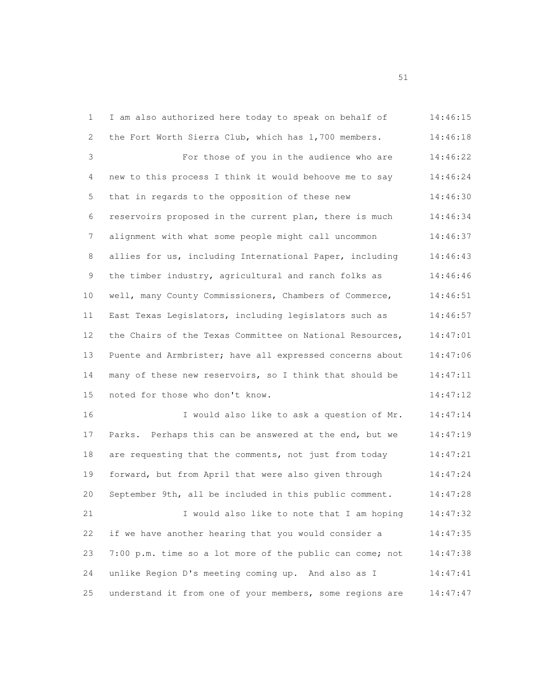| 1  | I am also authorized here today to speak on behalf of    | 14:46:15 |
|----|----------------------------------------------------------|----------|
| 2  | the Fort Worth Sierra Club, which has 1,700 members.     | 14:46:18 |
| 3  | For those of you in the audience who are                 | 14:46:22 |
| 4  | new to this process I think it would behoove me to say   | 14:46:24 |
| 5  | that in regards to the opposition of these new           | 14:46:30 |
| 6  | reservoirs proposed in the current plan, there is much   | 14:46:34 |
| 7  | alignment with what some people might call uncommon      | 14:46:37 |
| 8  | allies for us, including International Paper, including  | 14:46:43 |
| 9  | the timber industry, agricultural and ranch folks as     | 14:46:46 |
| 10 | well, many County Commissioners, Chambers of Commerce,   | 14:46:51 |
| 11 | East Texas Legislators, including legislators such as    | 14:46:57 |
| 12 | the Chairs of the Texas Committee on National Resources, | 14:47:01 |
| 13 | Puente and Armbrister; have all expressed concerns about | 14:47:06 |
| 14 | many of these new reservoirs, so I think that should be  | 14:47:11 |
| 15 | noted for those who don't know.                          | 14:47:12 |
| 16 | I would also like to ask a question of Mr.               | 14:47:14 |
| 17 | Parks. Perhaps this can be answered at the end, but we   | 14:47:19 |
| 18 | are requesting that the comments, not just from today    | 14:47:21 |
| 19 | forward, but from April that were also given through     | 14:47:24 |
| 20 | September 9th, all be included in this public comment.   | 14:47:28 |
| 21 | I would also like to note that I am hoping               | 14:47:32 |
| 22 | if we have another hearing that you would consider a     | 14:47:35 |
| 23 | 7:00 p.m. time so a lot more of the public can come; not | 14:47:38 |
| 24 | unlike Region D's meeting coming up. And also as I       | 14:47:41 |
| 25 | understand it from one of your members, some regions are | 14:47:47 |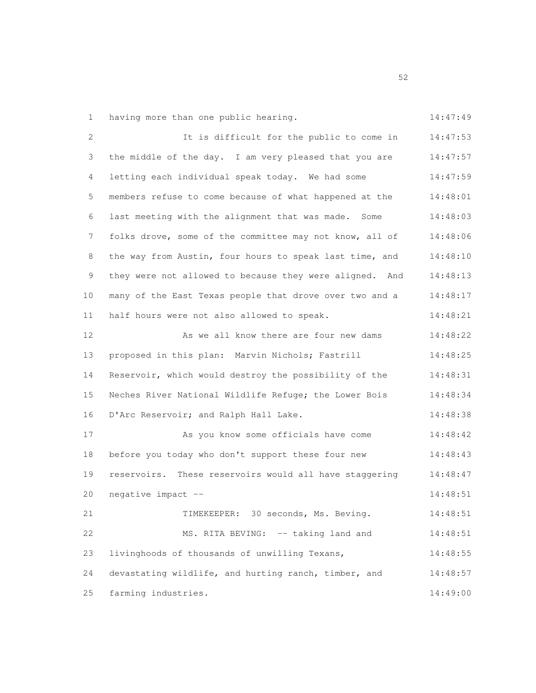1 having more than one public hearing. 14:47:49

|  |  | 1.17. |  |
|--|--|-------|--|

| 2  | It is difficult for the public to come in               | 14:47:53 |
|----|---------------------------------------------------------|----------|
| 3  | the middle of the day. I am very pleased that you are   | 14:47:57 |
| 4  | letting each individual speak today. We had some        | 14:47:59 |
| 5  | members refuse to come because of what happened at the  | 14:48:01 |
| 6  | last meeting with the alignment that was made. Some     | 14:48:03 |
| 7  | folks drove, some of the committee may not know, all of | 14:48:06 |
| 8  | the way from Austin, four hours to speak last time, and | 14:48:10 |
| 9  | they were not allowed to because they were aligned. And | 14:48:13 |
| 10 | many of the East Texas people that drove over two and a | 14:48:17 |
| 11 | half hours were not also allowed to speak.              | 14:48:21 |
| 12 | As we all know there are four new dams                  | 14:48:22 |
| 13 | proposed in this plan: Marvin Nichols; Fastrill         | 14:48:25 |
| 14 | Reservoir, which would destroy the possibility of the   | 14:48:31 |
| 15 | Neches River National Wildlife Refuge; the Lower Bois   | 14:48:34 |
| 16 | D'Arc Reservoir; and Ralph Hall Lake.                   | 14:48:38 |
| 17 | As you know some officials have come                    | 14:48:42 |
| 18 | before you today who don't support these four new       | 14:48:43 |
| 19 | reservoirs. These reservoirs would all have staggering  | 14:48:47 |
| 20 | negative impact --                                      | 14:48:51 |
| 21 | TIMEKEEPER: 30 seconds, Ms. Beving.                     | 14:48:51 |
| 22 | MS. RITA BEVING: -- taking land and                     | 14:48:51 |
| 23 | livinghoods of thousands of unwilling Texans,           | 14:48:55 |
| 24 | devastating wildlife, and hurting ranch, timber, and    | 14:48:57 |
| 25 | farming industries.                                     | 14:49:00 |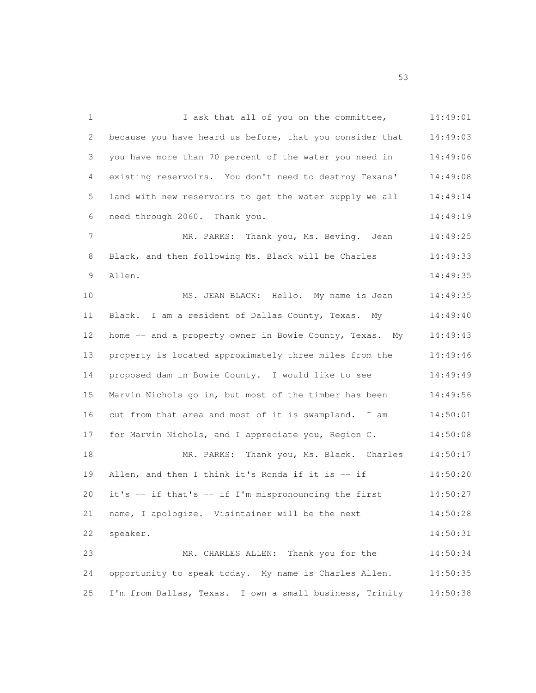1 I ask that all of you on the committee, 14:49:01 because you have heard us before, that you consider that 14:49:03 you have more than 70 percent of the water you need in 14:49:06 existing reservoirs. You don't need to destroy Texans' 14:49:08 land with new reservoirs to get the water supply we all 14:49:14 need through 2060. Thank you. 14:49:19 7 MR. PARKS: Thank you, Ms. Beving. Jean 14:49:25 8 Black, and then following Ms. Black will be Charles 14:49:33 Allen. 14:49:35 10 MS. JEAN BLACK: Hello. My name is Jean 14:49:35 Black. I am a resident of Dallas County, Texas. My 14:49:40 12 home -- and a property owner in Bowie County, Texas. My 14:49:43 property is located approximately three miles from the 14:49:46 proposed dam in Bowie County. I would like to see 14:49:49 Marvin Nichols go in, but most of the timber has been 14:49:56 cut from that area and most of it is swampland. I am 14:50:01 17 for Marvin Nichols, and I appreciate you, Region C. 14:50:08 MR. PARKS: Thank you, Ms. Black. Charles 14:50:17 19 Allen, and then I think it's Ronda if it is -- if 14:50:20 it's -- if that's -- if I'm mispronouncing the first 14:50:27 name, I apologize. Visintainer will be the next 14:50:28 speaker. 14:50:31 MR. CHARLES ALLEN: Thank you for the 14:50:34 opportunity to speak today. My name is Charles Allen. 14:50:35 I'm from Dallas, Texas. I own a small business, Trinity 14:50:38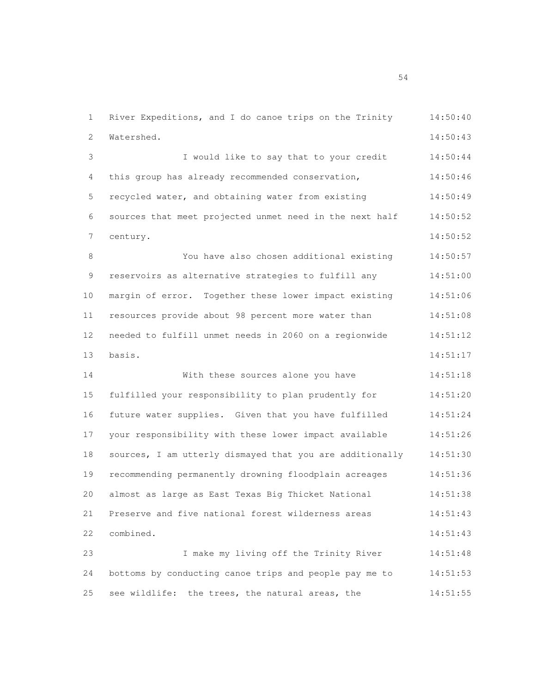River Expeditions, and I do canoe trips on the Trinity 14:50:40 Watershed. 14:50:43 I would like to say that to your credit 14:50:44 this group has already recommended conservation, 14:50:46 recycled water, and obtaining water from existing 14:50:49 sources that meet projected unmet need in the next half 14:50:52 century. 14:50:52 You have also chosen additional existing 14:50:57 9 reservoirs as alternative strategies to fulfill any  $14:51:00$  margin of error. Together these lower impact existing 14:51:06 resources provide about 98 percent more water than 14:51:08 needed to fulfill unmet needs in 2060 on a regionwide 14:51:12 basis. 14:51:17 With these sources alone you have 14:51:18 fulfilled your responsibility to plan prudently for 14:51:20 future water supplies. Given that you have fulfilled 14:51:24 your responsibility with these lower impact available 14:51:26 sources, I am utterly dismayed that you are additionally 14:51:30 recommending permanently drowning floodplain acreages 14:51:36 almost as large as East Texas Big Thicket National 14:51:38 Preserve and five national forest wilderness areas 14:51:43 combined. 14:51:43 I make my living off the Trinity River 14:51:48 bottoms by conducting canoe trips and people pay me to 14:51:53 see wildlife: the trees, the natural areas, the 14:51:55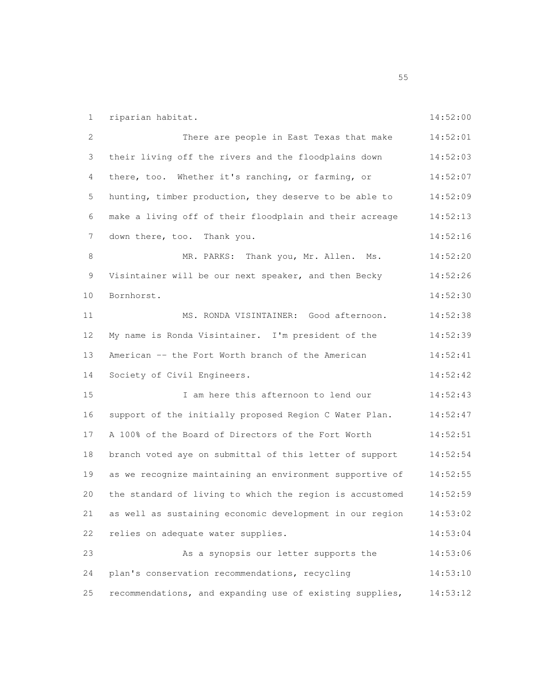riparian habitat. 14:52:00 There are people in East Texas that make 14:52:01 their living off the rivers and the floodplains down 14:52:03 there, too. Whether it's ranching, or farming, or 14:52:07 hunting, timber production, they deserve to be able to 14:52:09 make a living off of their floodplain and their acreage 14:52:13 7 down there, too. Thank you. 14:52:16 8 MR. PARKS: Thank you, Mr. Allen. Ms. 14:52:20 Visintainer will be our next speaker, and then Becky 14:52:26 Bornhorst. 14:52:30 MS. RONDA VISINTAINER: Good afternoon. 14:52:38 My name is Ronda Visintainer. I'm president of the 14:52:39 American -- the Fort Worth branch of the American 14:52:41 14 Society of Civil Engineers. 14:52:42 I am here this afternoon to lend our 14:52:43 support of the initially proposed Region C Water Plan. 14:52:47 A 100% of the Board of Directors of the Fort Worth 14:52:51 branch voted aye on submittal of this letter of support 14:52:54 as we recognize maintaining an environment supportive of 14:52:55 the standard of living to which the region is accustomed 14:52:59 as well as sustaining economic development in our region 14:53:02 relies on adequate water supplies. 14:53:04 As a synopsis our letter supports the 14:53:06 plan's conservation recommendations, recycling 14:53:10 recommendations, and expanding use of existing supplies, 14:53:12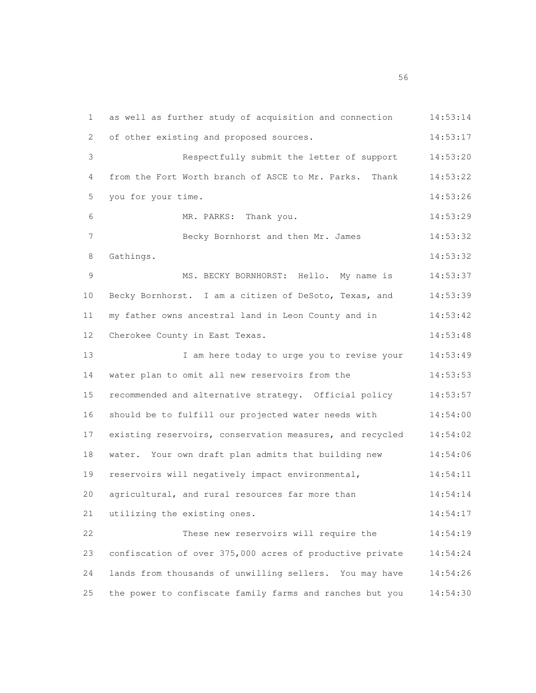as well as further study of acquisition and connection 14:53:14 2 of other existing and proposed sources. 14:53:17 Respectfully submit the letter of support 14:53:20 from the Fort Worth branch of ASCE to Mr. Parks. Thank 14:53:22 you for your time. 14:53:26 MR. PARKS: Thank you. 14:53:29 Becky Bornhorst and then Mr. James 14:53:32 Gathings. 14:53:32 MS. BECKY BORNHORST: Hello. My name is 14:53:37 Becky Bornhorst. I am a citizen of DeSoto, Texas, and 14:53:39 my father owns ancestral land in Leon County and in 14:53:42 12 Cherokee County in East Texas. 14:53:48 13 I am here today to urge you to revise your 14:53:49 water plan to omit all new reservoirs from the 14:53:53 recommended and alternative strategy. Official policy 14:53:57 should be to fulfill our projected water needs with 14:54:00 existing reservoirs, conservation measures, and recycled 14:54:02 water. Your own draft plan admits that building new 14:54:06 reservoirs will negatively impact environmental, 14:54:11 agricultural, and rural resources far more than 14:54:14 utilizing the existing ones. 14:54:17 These new reservoirs will require the 14:54:19 confiscation of over 375,000 acres of productive private 14:54:24 lands from thousands of unwilling sellers. You may have 14:54:26 the power to confiscate family farms and ranches but you 14:54:30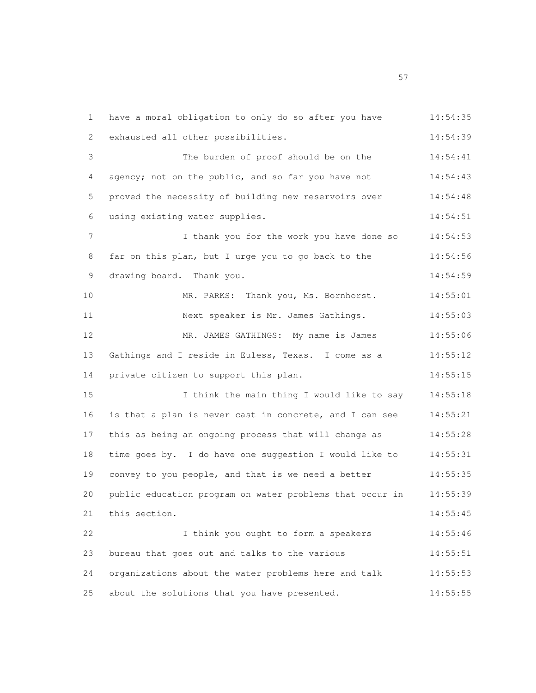have a moral obligation to only do so after you have 14:54:35 exhausted all other possibilities. 14:54:39 The burden of proof should be on the 14:54:41 4 agency; not on the public, and so far you have not  $14:54:43$  proved the necessity of building new reservoirs over 14:54:48 using existing water supplies. 14:54:51 I thank you for the work you have done so 14:54:53 far on this plan, but I urge you to go back to the 14:54:56 9 drawing board. Thank you. 14:54:59 10 MR. PARKS: Thank you, Ms. Bornhorst. 14:55:01 Next speaker is Mr. James Gathings. 14:55:03 MR. JAMES GATHINGS: My name is James 14:55:06 13 Gathings and I reside in Euless, Texas. I come as a 14:55:12 14 private citizen to support this plan. 14:55:15 I think the main thing I would like to say 14:55:18 is that a plan is never cast in concrete, and I can see 14:55:21 this as being an ongoing process that will change as 14:55:28 time goes by. I do have one suggestion I would like to 14:55:31 convey to you people, and that is we need a better 14:55:35 public education program on water problems that occur in 14:55:39 21 this section. 14:55:45 I think you ought to form a speakers 14:55:46 bureau that goes out and talks to the various 14:55:51 organizations about the water problems here and talk 14:55:53 about the solutions that you have presented. 14:55:55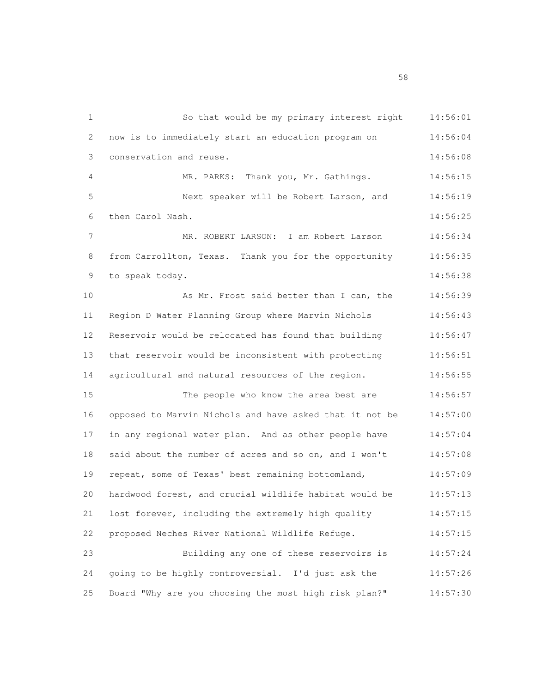So that would be my primary interest right 14:56:01 now is to immediately start an education program on 14:56:04 conservation and reuse. 14:56:08 MR. PARKS: Thank you, Mr. Gathings. 14:56:15 Next speaker will be Robert Larson, and 14:56:19 then Carol Nash. 14:56:25 MR. ROBERT LARSON: I am Robert Larson 14:56:34 from Carrollton, Texas. Thank you for the opportunity 14:56:35 to speak today. 14:56:38 As Mr. Frost said better than I can, the 14:56:39 Region D Water Planning Group where Marvin Nichols 14:56:43 Reservoir would be relocated has found that building 14:56:47 that reservoir would be inconsistent with protecting 14:56:51 agricultural and natural resources of the region. 14:56:55 The people who know the area best are 14:56:57 opposed to Marvin Nichols and have asked that it not be 14:57:00 in any regional water plan. And as other people have 14:57:04 18 said about the number of acres and so on, and I won't 14:57:08 repeat, some of Texas' best remaining bottomland, 14:57:09 hardwood forest, and crucial wildlife habitat would be 14:57:13 lost forever, including the extremely high quality 14:57:15 proposed Neches River National Wildlife Refuge. 14:57:15 Building any one of these reservoirs is 14:57:24 going to be highly controversial. I'd just ask the 14:57:26 Board "Why are you choosing the most high risk plan?" 14:57:30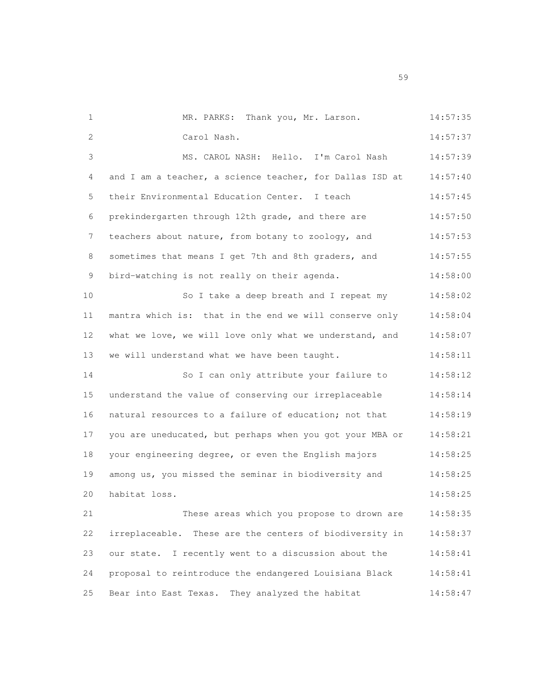| $\mathbf{1}$ | MR. PARKS: Thank you, Mr. Larson.                        | 14:57:35 |
|--------------|----------------------------------------------------------|----------|
| 2            | Carol Nash.                                              | 14:57:37 |
| 3            | MS. CAROL NASH: Hello. I'm Carol Nash                    | 14:57:39 |
| 4            | and I am a teacher, a science teacher, for Dallas ISD at | 14:57:40 |
| 5            | their Environmental Education Center. I teach            | 14:57:45 |
| 6            | prekindergarten through 12th grade, and there are        | 14:57:50 |
| 7            | teachers about nature, from botany to zoology, and       | 14:57:53 |
| 8            | sometimes that means I get 7th and 8th graders, and      | 14:57:55 |
| 9            | bird-watching is not really on their agenda.             | 14:58:00 |
| 10           | So I take a deep breath and I repeat my                  | 14:58:02 |
| 11           | mantra which is: that in the end we will conserve only   | 14:58:04 |
| 12           | what we love, we will love only what we understand, and  | 14:58:07 |
| 13           | we will understand what we have been taught.             | 14:58:11 |
| 14           | So I can only attribute your failure to                  | 14:58:12 |
| 15           | understand the value of conserving our irreplaceable     | 14:58:14 |
| 16           | natural resources to a failure of education; not that    | 14:58:19 |
| 17           | you are uneducated, but perhaps when you got your MBA or | 14:58:21 |
| 18           | your engineering degree, or even the English majors      | 14:58:25 |
| 19           | among us, you missed the seminar in biodiversity and     | 14:58:25 |
| 20           | habitat loss.                                            | 14:58:25 |
| 21           | These areas which you propose to drown are               | 14:58:35 |
| 22           | irreplaceable. These are the centers of biodiversity in  | 14:58:37 |
| 23           | our state. I recently went to a discussion about the     | 14:58:41 |
| 24           | proposal to reintroduce the endangered Louisiana Black   | 14:58:41 |
| 25           | Bear into East Texas. They analyzed the habitat          | 14:58:47 |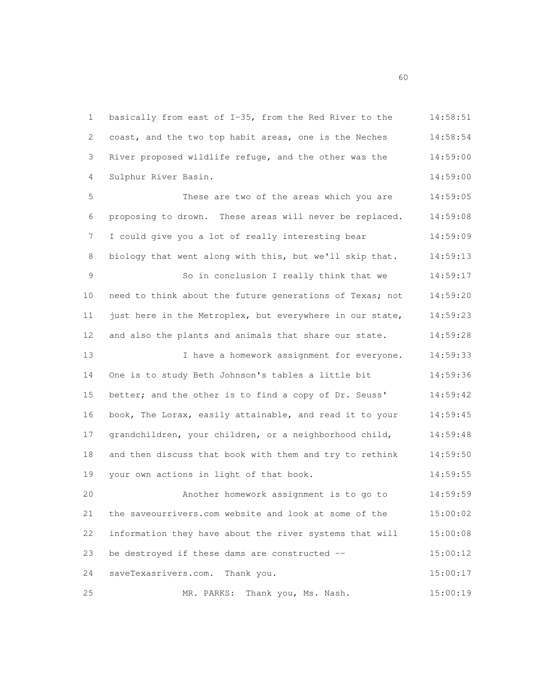basically from east of I-35, from the Red River to the 14:58:51 coast, and the two top habit areas, one is the Neches 14:58:54 River proposed wildlife refuge, and the other was the 14:59:00 Sulphur River Basin. 14:59:00 These are two of the areas which you are 14:59:05 proposing to drown. These areas will never be replaced. 14:59:08 I could give you a lot of really interesting bear 14:59:09 8 biology that went along with this, but we'll skip that. 14:59:13 So in conclusion I really think that we 14:59:17 need to think about the future generations of Texas; not 14:59:20 just here in the Metroplex, but everywhere in our state, 14:59:23 and also the plants and animals that share our state. 14:59:28 13 I have a homework assignment for everyone. 14:59:33 One is to study Beth Johnson's tables a little bit 14:59:36 better; and the other is to find a copy of Dr. Seuss' 14:59:42 book, The Lorax, easily attainable, and read it to your 14:59:45 grandchildren, your children, or a neighborhood child, 14:59:48 and then discuss that book with them and try to rethink 14:59:50 your own actions in light of that book. 14:59:55 Another homework assignment is to go to 14:59:59 the saveourrivers.com website and look at some of the 15:00:02 information they have about the river systems that will 15:00:08 be destroyed if these dams are constructed -- 15:00:12 saveTexasrivers.com. Thank you. 15:00:17 MR. PARKS: Thank you, Ms. Nash. 15:00:19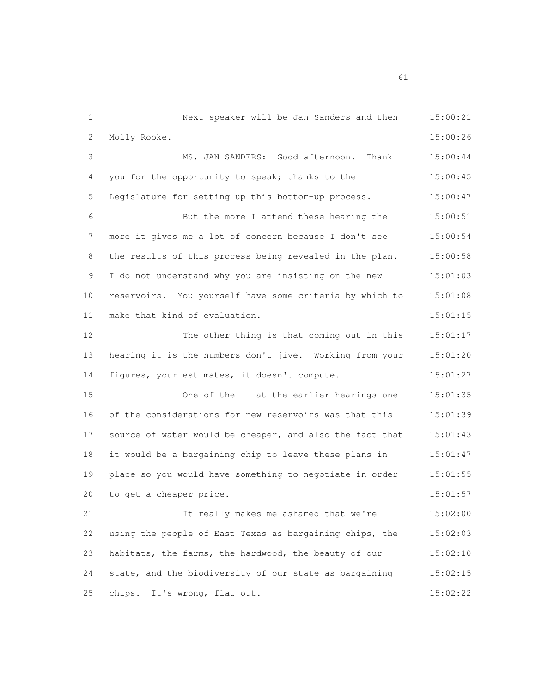Next speaker will be Jan Sanders and then 15:00:21 Molly Rooke. 15:00:26 MS. JAN SANDERS: Good afternoon. Thank 15:00:44 4 you for the opportunity to speak; thanks to the 15:00:45 Legislature for setting up this bottom-up process. 15:00:47 But the more I attend these hearing the 15:00:51 more it gives me a lot of concern because I don't see 15:00:54 8 the results of this process being revealed in the plan. 15:00:58 I do not understand why you are insisting on the new 15:01:03 reservoirs. You yourself have some criteria by which to 15:01:08 11 make that kind of evaluation. The contract was determined as the set of the matrix of the 15:01:15 The other thing is that coming out in this 15:01:17 hearing it is the numbers don't jive. Working from your 15:01:20 figures, your estimates, it doesn't compute. 15:01:27 One of the -- at the earlier hearings one 15:01:35 of the considerations for new reservoirs was that this 15:01:39 source of water would be cheaper, and also the fact that 15:01:43 it would be a bargaining chip to leave these plans in 15:01:47 place so you would have something to negotiate in order 15:01:55 to get a cheaper price. 15:01:57 It really makes me ashamed that we're 15:02:00 using the people of East Texas as bargaining chips, the 15:02:03 habitats, the farms, the hardwood, the beauty of our 15:02:10 state, and the biodiversity of our state as bargaining 15:02:15 chips. It's wrong, flat out. 15:02:22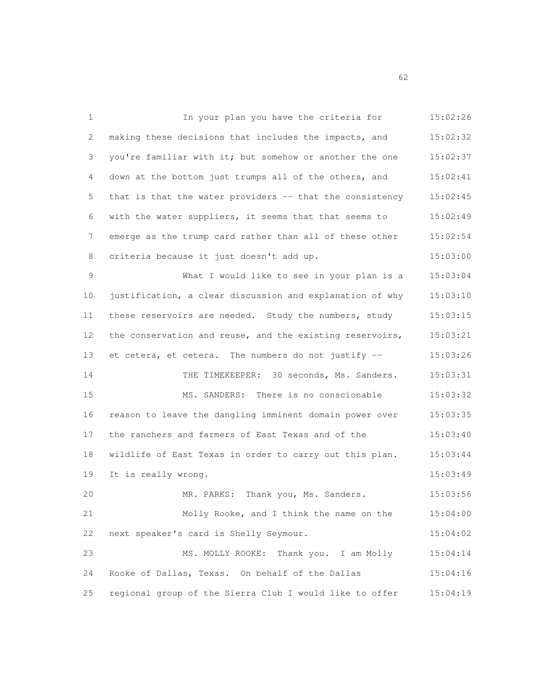| 1  | In your plan you have the criteria for                   | 15:02:26 |
|----|----------------------------------------------------------|----------|
| 2  | making these decisions that includes the impacts, and    | 15:02:32 |
| 3  | you're familiar with it; but somehow or another the one  | 15:02:37 |
| 4  | down at the bottom just trumps all of the others, and    | 15:02:41 |
| 5  | that is that the water providers -- that the consistency | 15:02:45 |
| 6  | with the water suppliers, it seems that that seems to    | 15:02:49 |
| 7  | emerge as the trump card rather than all of these other  | 15:02:54 |
| 8  | criteria because it just doesn't add up.                 | 15:03:00 |
| 9  | What I would like to see in your plan is a               | 15:03:04 |
| 10 | justification, a clear discussion and explanation of why | 15:03:10 |
| 11 | these reservoirs are needed. Study the numbers, study    | 15:03:15 |
| 12 | the conservation and reuse, and the existing reservoirs, | 15:03:21 |
| 13 | et cetera, et cetera. The numbers do not justify --      | 15:03:26 |
| 14 | THE TIMEKEEPER: 30 seconds, Ms. Sanders.                 | 15:03:31 |
| 15 | MS. SANDERS: There is no conscionable                    | 15:03:32 |
| 16 | reason to leave the dangling imminent domain power over  | 15:03:35 |
| 17 | the ranchers and farmers of East Texas and of the        | 15:03:40 |
| 18 | wildlife of East Texas in order to carry out this plan.  | 15:03:44 |
| 19 | It is really wrong.                                      | 15:03:49 |
| 20 | MR. PARKS: Thank you, Ms. Sanders.                       | 15:03:56 |
| 21 | Molly Rooke, and I think the name on the                 | 15:04:00 |
| 22 | next speaker's card is Shelly Seymour.                   | 15:04:02 |
| 23 | MS. MOLLY ROOKE:<br>Thank you. I am Molly                | 15:04:14 |
| 24 | Rooke of Dallas, Texas. On behalf of the Dallas          | 15:04:16 |
| 25 | regional group of the Sierra Club I would like to offer  | 15:04:19 |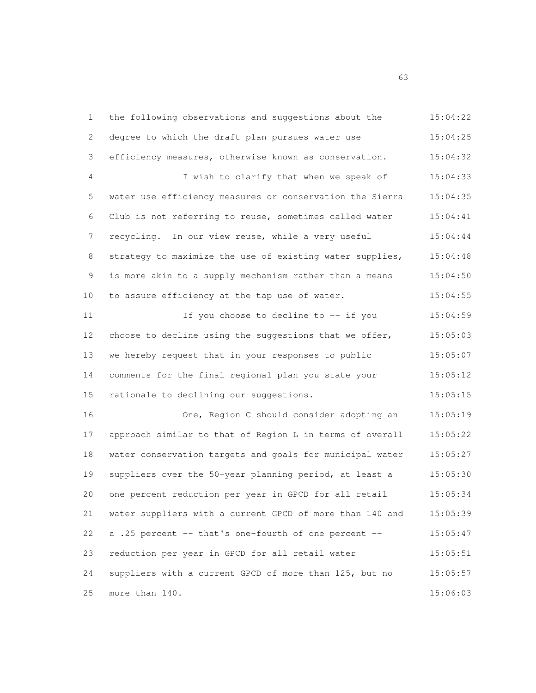| 1           | the following observations and suggestions about the     | 15:04:22 |
|-------------|----------------------------------------------------------|----------|
| 2           | degree to which the draft plan pursues water use         | 15:04:25 |
| 3           | efficiency measures, otherwise known as conservation.    | 15:04:32 |
| 4           | I wish to clarify that when we speak of                  | 15:04:33 |
| 5           | water use efficiency measures or conservation the Sierra | 15:04:35 |
| 6           | Club is not referring to reuse, sometimes called water   | 15:04:41 |
| 7           | recycling. In our view reuse, while a very useful        | 15:04:44 |
| 8           | strategy to maximize the use of existing water supplies, | 15:04:48 |
| $\mathsf 9$ | is more akin to a supply mechanism rather than a means   | 15:04:50 |
| 10          | to assure efficiency at the tap use of water.            | 15:04:55 |
| 11          | If you choose to decline to -- if you                    | 15:04:59 |
| 12          | choose to decline using the suggestions that we offer,   | 15:05:03 |
| 13          | we hereby request that in your responses to public       | 15:05:07 |
| 14          | comments for the final regional plan you state your      | 15:05:12 |
| 15          | rationale to declining our suggestions.                  | 15:05:15 |
| 16          | One, Region C should consider adopting an                | 15:05:19 |
| 17          | approach similar to that of Region L in terms of overall | 15:05:22 |
| 18          | water conservation targets and goals for municipal water | 15:05:27 |
| 19          | suppliers over the 50-year planning period, at least a   | 15:05:30 |
| 20          | one percent reduction per year in GPCD for all retail    | 15:05:34 |
| 21          | water suppliers with a current GPCD of more than 140 and | 15:05:39 |
| 22          | a .25 percent -- that's one-fourth of one percent --     | 15:05:47 |
| 23          | reduction per year in GPCD for all retail water          | 15:05:51 |
| 24          | suppliers with a current GPCD of more than 125, but no   | 15:05:57 |
| 25          | more than 140.                                           | 15:06:03 |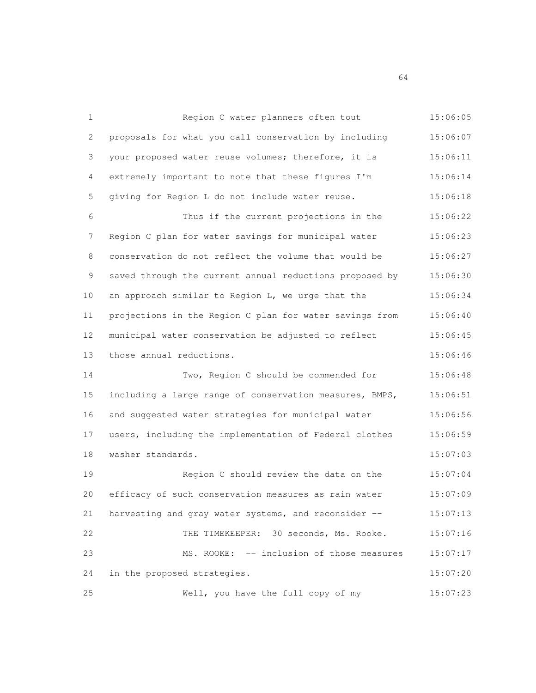| 1           | Region C water planners often tout                      | 15:06:05 |
|-------------|---------------------------------------------------------|----------|
| 2           | proposals for what you call conservation by including   | 15:06:07 |
| 3           | your proposed water reuse volumes; therefore, it is     | 15:06:11 |
| 4           | extremely important to note that these figures I'm      | 15:06:14 |
| 5           | giving for Region L do not include water reuse.         | 15:06:18 |
| 6           | Thus if the current projections in the                  | 15:06:22 |
| 7           | Region C plan for water savings for municipal water     | 15:06:23 |
| 8           | conservation do not reflect the volume that would be    | 15:06:27 |
| $\mathsf 9$ | saved through the current annual reductions proposed by | 15:06:30 |
| 10          | an approach similar to Region L, we urge that the       | 15:06:34 |
| 11          | projections in the Region C plan for water savings from | 15:06:40 |
| 12          | municipal water conservation be adjusted to reflect     | 15:06:45 |
| 13          | those annual reductions.                                | 15:06:46 |
| 14          | Two, Region C should be commended for                   | 15:06:48 |
| 15          | including a large range of conservation measures, BMPS, | 15:06:51 |
| 16          | and suggested water strategies for municipal water      | 15:06:56 |
| 17          | users, including the implementation of Federal clothes  | 15:06:59 |
| 18          | washer standards.                                       | 15:07:03 |
| 19          | Region C should review the data on the                  | 15:07:04 |
| 20          | efficacy of such conservation measures as rain water    | 15:07:09 |
| 21          | harvesting and gray water systems, and reconsider --    | 15:07:13 |
| 22          | THE TIMEKEEPER: 30 seconds, Ms. Rooke.                  | 15:07:16 |
| 23          | MS. ROOKE: -- inclusion of those measures               | 15:07:17 |
| 24          | in the proposed strategies.                             | 15:07:20 |
| 25          | Well, you have the full copy of my                      | 15:07:23 |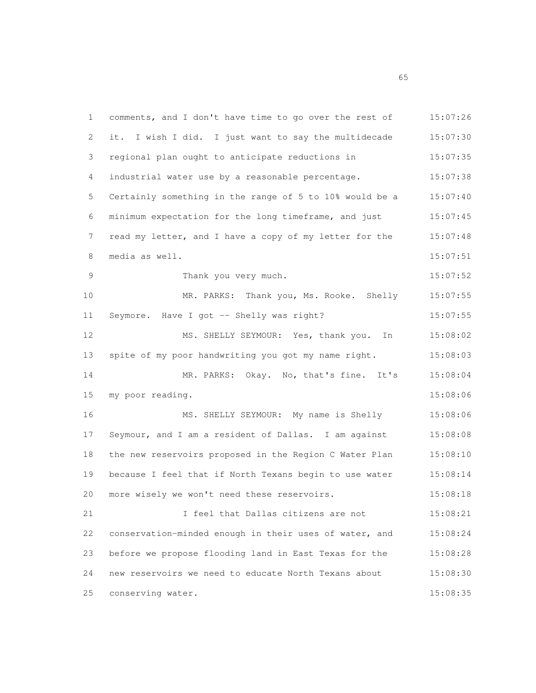| 1              | comments, and I don't have time to go over the rest of  | 15:07:26 |
|----------------|---------------------------------------------------------|----------|
| 2              | it. I wish I did. I just want to say the multidecade    | 15:07:30 |
| 3              | regional plan ought to anticipate reductions in         | 15:07:35 |
| 4              | industrial water use by a reasonable percentage.        | 15:07:38 |
| 5              | Certainly something in the range of 5 to 10% would be a | 15:07:40 |
| 6              | minimum expectation for the long timeframe, and just    | 15:07:45 |
| 7              | read my letter, and I have a copy of my letter for the  | 15:07:48 |
| 8              | media as well.                                          | 15:07:51 |
| $\overline{9}$ | Thank you very much.                                    | 15:07:52 |
| 10             | MR. PARKS: Thank you, Ms. Rooke. Shelly                 | 15:07:55 |
| 11             | Seymore. Have I got -- Shelly was right?                | 15:07:55 |
| 12             | MS. SHELLY SEYMOUR: Yes, thank you. In                  | 15:08:02 |
| 13             | spite of my poor handwriting you got my name right.     | 15:08:03 |
| 14             | MR. PARKS: Okay. No, that's fine. It's                  | 15:08:04 |
| 15             | my poor reading.                                        | 15:08:06 |
| 16             | MS. SHELLY SEYMOUR: My name is Shelly                   | 15:08:06 |
| 17             | Seymour, and I am a resident of Dallas. I am against    | 15:08:08 |
| 18             | the new reservoirs proposed in the Region C Water Plan  | 15:08:10 |
| 19             | because I feel that if North Texans begin to use water  | 15:08:14 |
| 20             | more wisely we won't need these reservoirs.             | 15:08:18 |
| 21             | I feel that Dallas citizens are not                     | 15:08:21 |
| 22             | conservation-minded enough in their uses of water, and  | 15:08:24 |
| 23             | before we propose flooding land in East Texas for the   | 15:08:28 |
| 24             | new reservoirs we need to educate North Texans about    | 15:08:30 |
| 25             | conserving water.                                       | 15:08:35 |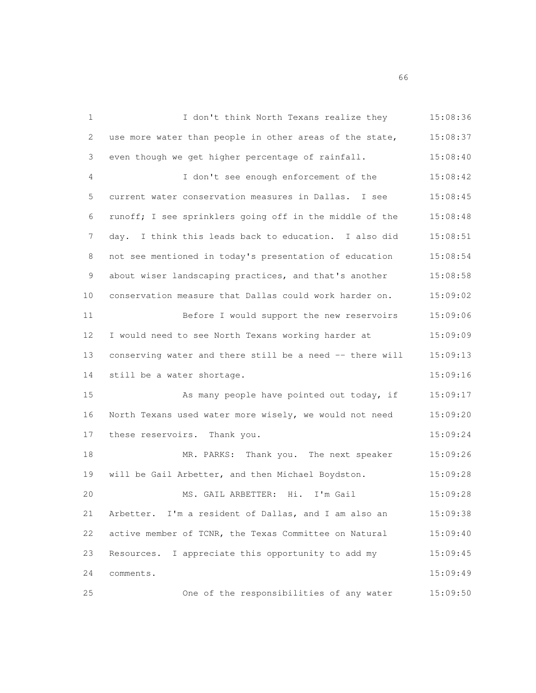| 1           | I don't think North Texans realize they                  | 15:08:36 |
|-------------|----------------------------------------------------------|----------|
| 2           | use more water than people in other areas of the state,  | 15:08:37 |
| 3           | even though we get higher percentage of rainfall.        | 15:08:40 |
| 4           | I don't see enough enforcement of the                    | 15:08:42 |
| 5           | current water conservation measures in Dallas. I see     | 15:08:45 |
| 6           | runoff; I see sprinklers going off in the middle of the  | 15:08:48 |
| 7           | day. I think this leads back to education. I also did    | 15:08:51 |
| 8           | not see mentioned in today's presentation of education   | 15:08:54 |
| $\mathsf 9$ | about wiser landscaping practices, and that's another    | 15:08:58 |
| 10          | conservation measure that Dallas could work harder on.   | 15:09:02 |
| 11          | Before I would support the new reservoirs                | 15:09:06 |
| 12          | I would need to see North Texans working harder at       | 15:09:09 |
| 13          | conserving water and there still be a need -- there will | 15:09:13 |
| 14          | still be a water shortage.                               | 15:09:16 |
| 15          | As many people have pointed out today, if                | 15:09:17 |
| 16          | North Texans used water more wisely, we would not need   | 15:09:20 |
| 17          | these reservoirs. Thank you.                             | 15:09:24 |
| 18          | MR. PARKS: Thank you. The next speaker                   | 15:09:26 |
| 19          | will be Gail Arbetter, and then Michael Boydston.        | 15:09:28 |
| 20          | MS. GAIL ARBETTER: Hi. I'm Gail                          | 15:09:28 |
| 21          | Arbetter. I'm a resident of Dallas, and I am also an     | 15:09:38 |
| 22          | active member of TCNR, the Texas Committee on Natural    | 15:09:40 |
| 23          | Resources. I appreciate this opportunity to add my       | 15:09:45 |
| 24          | comments.                                                | 15:09:49 |
| 25          | One of the responsibilities of any water                 | 15:09:50 |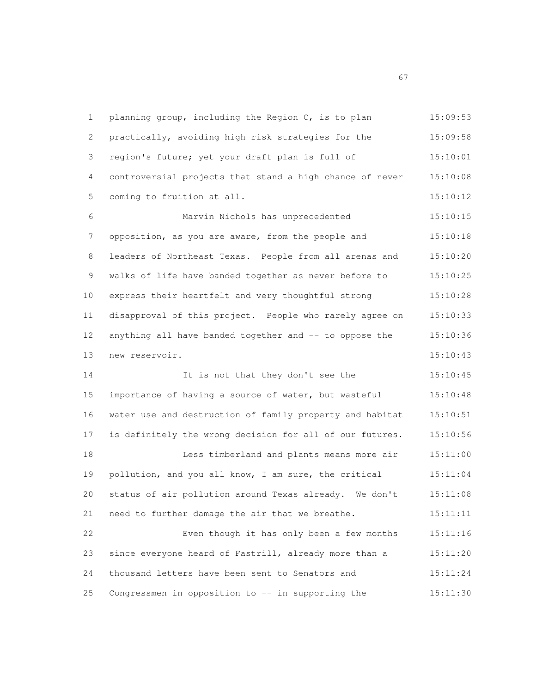1 planning group, including the Region C, is to plan 15:09:53 practically, avoiding high risk strategies for the 15:09:58 region's future; yet your draft plan is full of 15:10:01 controversial projects that stand a high chance of never 15:10:08 5 coming to fruition at all. 15:10:12 Marvin Nichols has unprecedented 15:10:15 7 opposition, as you are aware, from the people and 15:10:18 leaders of Northeast Texas. People from all arenas and 15:10:20 walks of life have banded together as never before to 15:10:25 express their heartfelt and very thoughtful strong 15:10:28 disapproval of this project. People who rarely agree on 15:10:33 12 anything all have banded together and -- to oppose the 15:10:36 new reservoir. 15:10:43 14 It is not that they don't see the 15:10:45 importance of having a source of water, but wasteful 15:10:48 water use and destruction of family property and habitat 15:10:51 is definitely the wrong decision for all of our futures. 15:10:56 Less timberland and plants means more air 15:11:00 pollution, and you all know, I am sure, the critical 15:11:04 status of air pollution around Texas already. We don't 15:11:08 need to further damage the air that we breathe. 15:11:11 Even though it has only been a few months 15:11:16 since everyone heard of Fastrill, already more than a 15:11:20 thousand letters have been sent to Senators and 15:11:24 25 Congressmen in opposition to -- in supporting the  $15:11:30$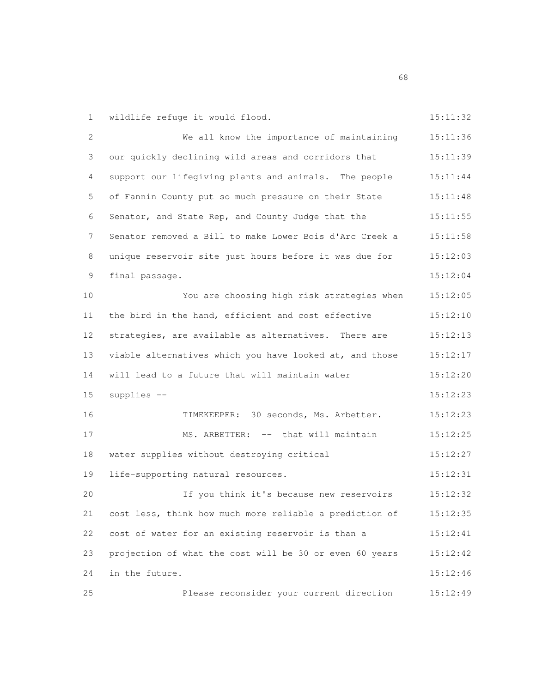| 1             | wildlife refuge it would flood.                         | 15:11:32 |
|---------------|---------------------------------------------------------|----------|
| 2             | We all know the importance of maintaining               | 15:11:36 |
| 3             | our quickly declining wild areas and corridors that     | 15:11:39 |
| 4             | support our lifegiving plants and animals. The people   | 15:11:44 |
| 5             | of Fannin County put so much pressure on their State    | 15:11:48 |
| 6             | Senator, and State Rep, and County Judge that the       | 15:11:55 |
| 7             | Senator removed a Bill to make Lower Bois d'Arc Creek a | 15:11:58 |
| 8             | unique reservoir site just hours before it was due for  | 15:12:03 |
| $\mathcal{G}$ | final passage.                                          | 15:12:04 |
| 10            | You are choosing high risk strategies when              | 15:12:05 |
| 11            | the bird in the hand, efficient and cost effective      | 15:12:10 |
| 12            | strategies, are available as alternatives. There are    | 15:12:13 |
| 13            | viable alternatives which you have looked at, and those | 15:12:17 |
| 14            | will lead to a future that will maintain water          | 15:12:20 |
| 15            | supplies --                                             | 15:12:23 |
| 16            | TIMEKEEPER: 30 seconds, Ms. Arbetter.                   | 15:12:23 |
| 17            | MS. ARBETTER: -- that will maintain                     | 15:12:25 |
| 18            | water supplies without destroying critical              | 15:12:27 |
| 19            | life-supporting natural resources.                      | 15:12:31 |
| 20            | If you think it's because new reservoirs                | 15:12:32 |
| 21            | cost less, think how much more reliable a prediction of | 15:12:35 |
| 22            | cost of water for an existing reservoir is than a       | 15:12:41 |
| 23            | projection of what the cost will be 30 or even 60 years | 15:12:42 |
| 24            | in the future.                                          | 15:12:46 |
| 25            | Please reconsider your current direction                | 15:12:49 |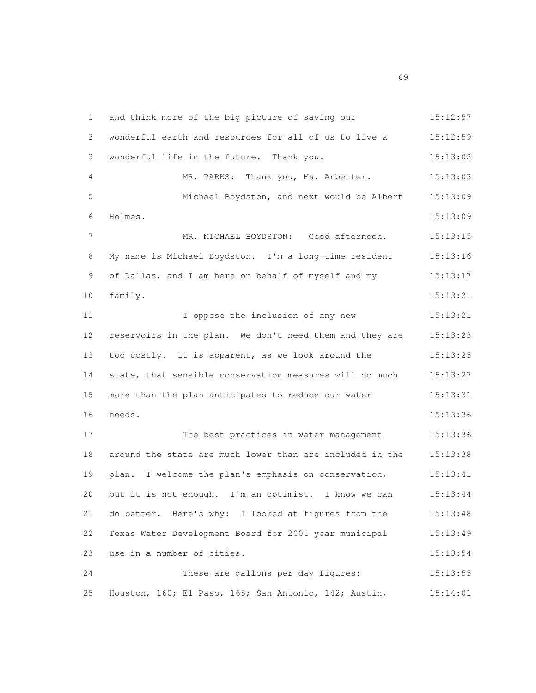1 and think more of the big picture of saving our 15:12:57 wonderful earth and resources for all of us to live a 15:12:59 wonderful life in the future. Thank you. 15:13:02 MR. PARKS: Thank you, Ms. Arbetter. 15:13:03 Michael Boydston, and next would be Albert 15:13:09 Holmes. 15:13:09 MR. MICHAEL BOYDSTON: Good afternoon. 15:13:15 My name is Michael Boydston. I'm a long-time resident 15:13:16 of Dallas, and I am here on behalf of myself and my 15:13:17 family. 15:13:21 I oppose the inclusion of any new 15:13:21 reservoirs in the plan. We don't need them and they are 15:13:23 too costly. It is apparent, as we look around the 15:13:25 state, that sensible conservation measures will do much 15:13:27 more than the plan anticipates to reduce our water 15:13:31 needs. 15:13:36 17 The best practices in water management 15:13:36 around the state are much lower than are included in the 15:13:38 plan. I welcome the plan's emphasis on conservation, 15:13:41 but it is not enough. I'm an optimist. I know we can 15:13:44 do better. Here's why: I looked at figures from the 15:13:48 Texas Water Development Board for 2001 year municipal 15:13:49 23 use in a number of cities. 15:13:54 These are gallons per day figures: 15:13:55 Houston, 160; El Paso, 165; San Antonio, 142; Austin, 15:14:01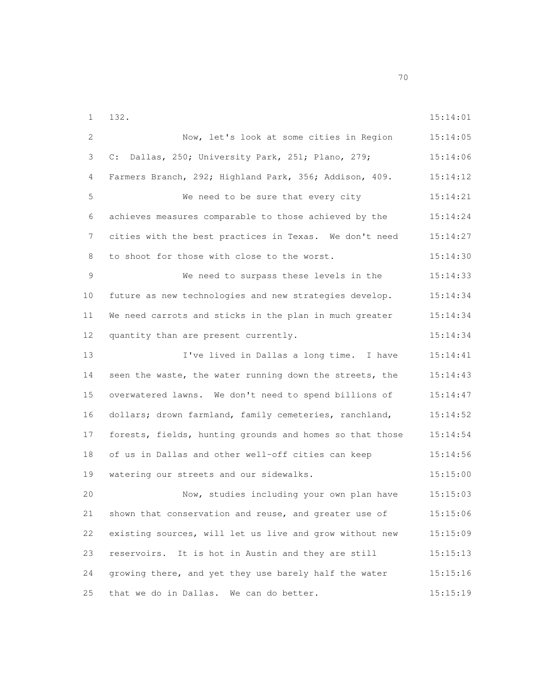132. 15:14:01

| 2  | Now, let's look at some cities in Region                 | 15:14:05 |
|----|----------------------------------------------------------|----------|
| 3  | C: Dallas, 250; University Park, 251; Plano, 279;        | 15:14:06 |
| 4  | Farmers Branch, 292; Highland Park, 356; Addison, 409.   | 15:14:12 |
| 5  | We need to be sure that every city                       | 15:14:21 |
| 6  | achieves measures comparable to those achieved by the    | 15:14:24 |
| 7  | cities with the best practices in Texas. We don't need   | 15:14:27 |
| 8  | to shoot for those with close to the worst.              | 15:14:30 |
| 9  | We need to surpass these levels in the                   | 15:14:33 |
| 10 | future as new technologies and new strategies develop.   | 15:14:34 |
| 11 | We need carrots and sticks in the plan in much greater   | 15:14:34 |
| 12 | quantity than are present currently.                     | 15:14:34 |
| 13 | I've lived in Dallas a long time. I have                 | 15:14:41 |
| 14 | seen the waste, the water running down the streets, the  | 15:14:43 |
| 15 | overwatered lawns. We don't need to spend billions of    | 15:14:47 |
| 16 | dollars; drown farmland, family cemeteries, ranchland,   | 15:14:52 |
| 17 | forests, fields, hunting grounds and homes so that those | 15:14:54 |
| 18 | of us in Dallas and other well-off cities can keep       | 15:14:56 |
| 19 | watering our streets and our sidewalks.                  | 15:15:00 |
| 20 | Now, studies including your own plan have                | 15:15:03 |
| 21 | shown that conservation and reuse, and greater use of    | 15:15:06 |
| 22 | existing sources, will let us live and grow without new  | 15:15:09 |
| 23 | reservoirs. It is hot in Austin and they are still       | 15:15:13 |
| 24 | growing there, and yet they use barely half the water    | 15:15:16 |
| 25 | that we do in Dallas. We can do better.                  | 15:15:19 |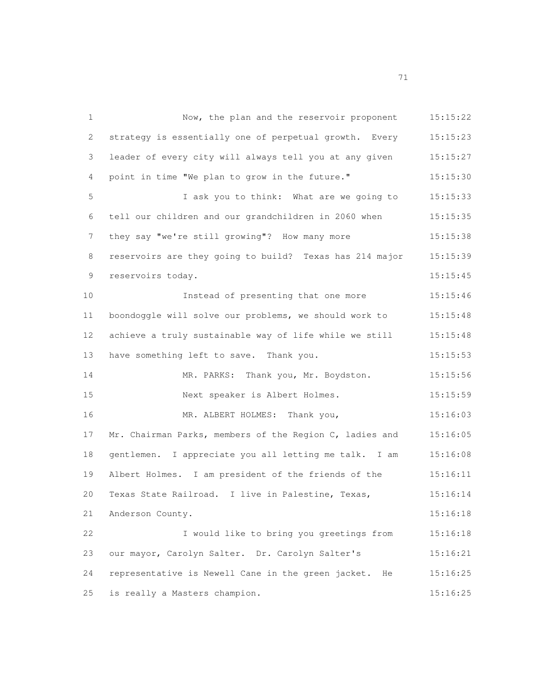Now, the plan and the reservoir proponent 15:15:22 strategy is essentially one of perpetual growth. Every 15:15:23 leader of every city will always tell you at any given 15:15:27 point in time "We plan to grow in the future." 15:15:30 I ask you to think: What are we going to 15:15:33 tell our children and our grandchildren in 2060 when 15:15:35 7 they say "we're still growing"? How many more 15:15:38 reservoirs are they going to build? Texas has 214 major 15:15:39 reservoirs today. 15:15:45 10 Instead of presenting that one more 15:15:46 boondoggle will solve our problems, we should work to 15:15:48 achieve a truly sustainable way of life while we still 15:15:48 13 have something left to save. Thank you. 15:15:53 14 MR. PARKS: Thank you, Mr. Boydston. 15:15:56 Next speaker is Albert Holmes. 15:15:59 MR. ALBERT HOLMES: Thank you, 15:16:03 Mr. Chairman Parks, members of the Region C, ladies and 15:16:05 gentlemen. I appreciate you all letting me talk. I am 15:16:08 Albert Holmes. I am president of the friends of the 15:16:11 Texas State Railroad. I live in Palestine, Texas, 15:16:14 Anderson County. 15:16:18 I would like to bring you greetings from 15:16:18 our mayor, Carolyn Salter. Dr. Carolyn Salter's 15:16:21 representative is Newell Cane in the green jacket. He 15:16:25 is really a Masters champion. 15:16:25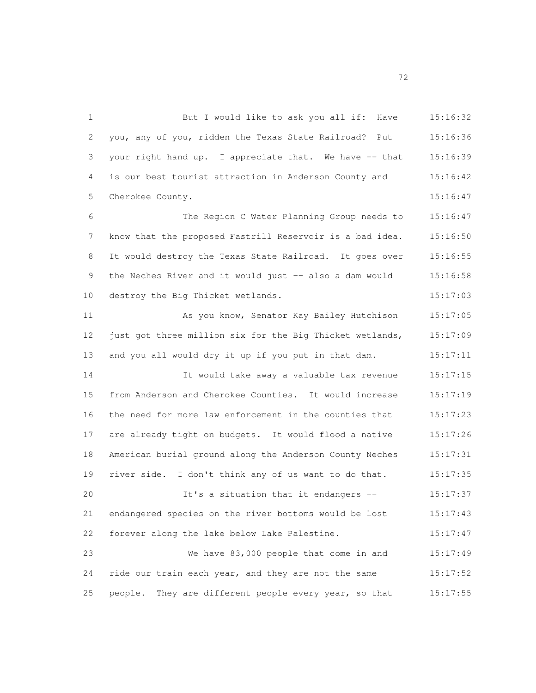1 But I would like to ask you all if: Have 15:16:32 you, any of you, ridden the Texas State Railroad? Put 15:16:36 3 your right hand up. I appreciate that. We have -- that 15:16:39 is our best tourist attraction in Anderson County and 15:16:42 Cherokee County. 15:16:47 The Region C Water Planning Group needs to 15:16:47 know that the proposed Fastrill Reservoir is a bad idea. 15:16:50 It would destroy the Texas State Railroad. It goes over 15:16:55 9 the Neches River and it would just -- also a dam would 15:16:58 destroy the Big Thicket wetlands. 15:17:03 As you know, Senator Kay Bailey Hutchison 15:17:05 12 just got three million six for the Big Thicket wetlands, 15:17:09 and you all would dry it up if you put in that dam. 15:17:11 It would take away a valuable tax revenue 15:17:15 from Anderson and Cherokee Counties. It would increase 15:17:19 the need for more law enforcement in the counties that 15:17:23 are already tight on budgets. It would flood a native 15:17:26 American burial ground along the Anderson County Neches 15:17:31 river side. I don't think any of us want to do that. 15:17:35 It's a situation that it endangers -- 15:17:37 endangered species on the river bottoms would be lost 15:17:43 forever along the lake below Lake Palestine. 15:17:47 We have 83,000 people that come in and 15:17:49 ride our train each year, and they are not the same 15:17:52 25 people. They are different people every year, so that 15:17:55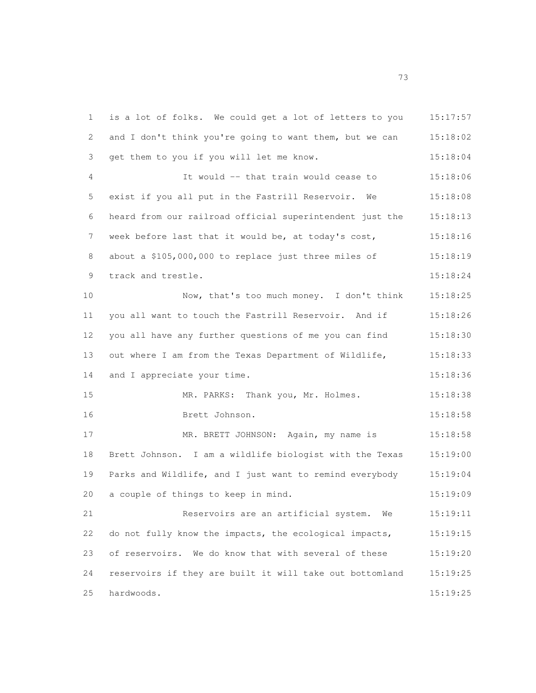is a lot of folks. We could get a lot of letters to you 15:17:57 and I don't think you're going to want them, but we can 15:18:02 get them to you if you will let me know. 15:18:04 It would -- that train would cease to 15:18:06 exist if you all put in the Fastrill Reservoir. We 15:18:08 heard from our railroad official superintendent just the 15:18:13 7 week before last that it would be, at today's cost, 15:18:16 8 about a \$105,000,000 to replace just three miles of 15:18:19 track and trestle. 15:18:24 Now, that's too much money. I don't think 15:18:25 you all want to touch the Fastrill Reservoir. And if 15:18:26 you all have any further questions of me you can find 15:18:30 13 out where I am from the Texas Department of Wildlife, 15:18:33 14 and I appreciate your time. 15:18:36 MR. PARKS: Thank you, Mr. Holmes. 15:18:38 Brett Johnson. 15:18:58 MR. BRETT JOHNSON: Again, my name is 15:18:58 Brett Johnson. I am a wildlife biologist with the Texas 15:19:00 Parks and Wildlife, and I just want to remind everybody 15:19:04 a couple of things to keep in mind. 15:19:09 Reservoirs are an artificial system. We 15:19:11 do not fully know the impacts, the ecological impacts, 15:19:15 of reservoirs. We do know that with several of these 15:19:20 reservoirs if they are built it will take out bottomland 15:19:25 hardwoods. 15:19:25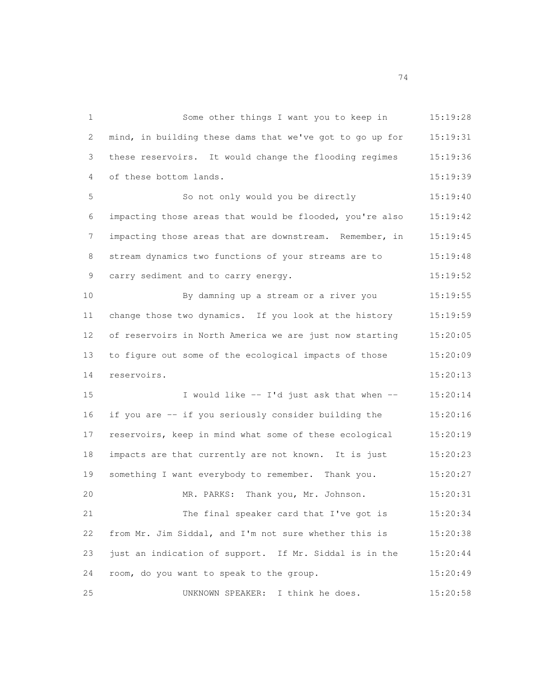Some other things I want you to keep in 15:19:28 mind, in building these dams that we've got to go up for 15:19:31 these reservoirs. It would change the flooding regimes 15:19:36 of these bottom lands. 15:19:39 So not only would you be directly 15:19:40 impacting those areas that would be flooded, you're also 15:19:42 impacting those areas that are downstream. Remember, in 15:19:45 8 stream dynamics two functions of your streams are to  $15:19:48$ 9 carry sediment and to carry energy. 15:19:52 By damning up a stream or a river you 15:19:55 change those two dynamics. If you look at the history 15:19:59 of reservoirs in North America we are just now starting 15:20:05 to figure out some of the ecological impacts of those 15:20:09 reservoirs. 15:20:13 I would like -- I'd just ask that when -- 15:20:14 if you are -- if you seriously consider building the 15:20:16 reservoirs, keep in mind what some of these ecological 15:20:19 impacts are that currently are not known. It is just 15:20:23 something I want everybody to remember. Thank you. 15:20:27 MR. PARKS: Thank you, Mr. Johnson. 15:20:31 The final speaker card that I've got is 15:20:34 from Mr. Jim Siddal, and I'm not sure whether this is 15:20:38 just an indication of support. If Mr. Siddal is in the 15:20:44 room, do you want to speak to the group. 15:20:49 UNKNOWN SPEAKER: I think he does. 15:20:58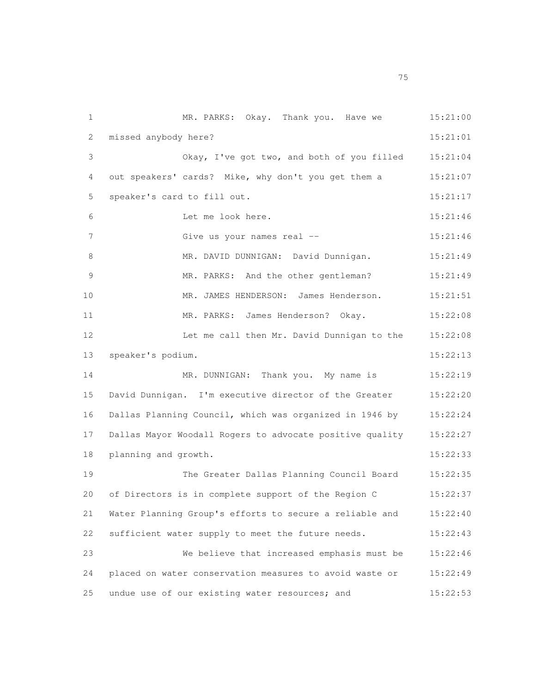MR. PARKS: Okay. Thank you. Have we 15:21:00 missed anybody here? 15:21:01 Okay, I've got two, and both of you filled 15:21:04 out speakers' cards? Mike, why don't you get them a 15:21:07 speaker's card to fill out. 15:21:17 Let me look here. 15:21:46 Give us your names real -- 15:21:46 8 MR. DAVID DUNNIGAN: David Dunnigan. 15:21:49 MR. PARKS: And the other gentleman? 15:21:49 MR. JAMES HENDERSON: James Henderson. 15:21:51 MR. PARKS: James Henderson? Okay. 15:22:08 Let me call then Mr. David Dunnigan to the 15:22:08 speaker's podium. 15:22:13 14 MR. DUNNIGAN: Thank you. My name is 15:22:19 David Dunnigan. I'm executive director of the Greater 15:22:20 Dallas Planning Council, which was organized in 1946 by 15:22:24 Dallas Mayor Woodall Rogers to advocate positive quality 15:22:27 planning and growth. 15:22:33 The Greater Dallas Planning Council Board 15:22:35 20 of Directors is in complete support of the Region C 15:22:37 Water Planning Group's efforts to secure a reliable and 15:22:40 sufficient water supply to meet the future needs. 15:22:43 We believe that increased emphasis must be 15:22:46 placed on water conservation measures to avoid waste or 15:22:49 25 undue use of our existing water resources; and 15:22:53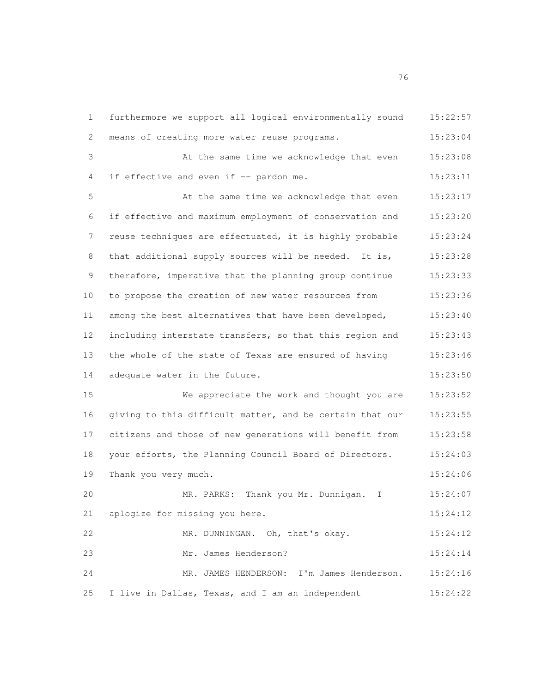furthermore we support all logical environmentally sound 15:22:57 means of creating more water reuse programs. 15:23:04 At the same time we acknowledge that even 15:23:08 4 if effective and even if -- pardon me. 15:23:11 At the same time we acknowledge that even 15:23:17 if effective and maximum employment of conservation and 15:23:20 reuse techniques are effectuated, it is highly probable 15:23:24 8 that additional supply sources will be needed. It is, 15:23:28 therefore, imperative that the planning group continue 15:23:33 to propose the creation of new water resources from 15:23:36 among the best alternatives that have been developed, 15:23:40 including interstate transfers, so that this region and 15:23:43 the whole of the state of Texas are ensured of having 15:23:46 14 adequate water in the future. 15:23:50 We appreciate the work and thought you are 15:23:52 giving to this difficult matter, and be certain that our 15:23:55 citizens and those of new generations will benefit from 15:23:58 your efforts, the Planning Council Board of Directors. 15:24:03 19 Thank you very much. 15:24:06 MR. PARKS: Thank you Mr. Dunnigan. I 15:24:07 aplogize for missing you here. 15:24:12 MR. DUNNINGAN. Oh, that's okay. 15:24:12 Mr. James Henderson? 15:24:14 MR. JAMES HENDERSON: I'm James Henderson. 15:24:16 I live in Dallas, Texas, and I am an independent 15:24:22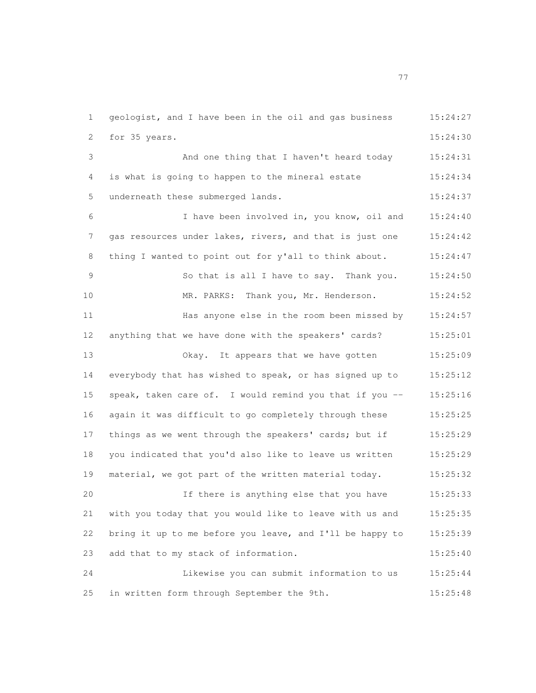geologist, and I have been in the oil and gas business 15:24:27 for 35 years. 15:24:30 And one thing that I haven't heard today 15:24:31 is what is going to happen to the mineral estate 15:24:34 5 underneath these submerged lands. 15:24:37 I have been involved in, you know, oil and 15:24:40 gas resources under lakes, rivers, and that is just one 15:24:42 8 thing I wanted to point out for y'all to think about. 15:24:47 So that is all I have to say. Thank you. 15:24:50 MR. PARKS: Thank you, Mr. Henderson. 15:24:52 Has anyone else in the room been missed by 15:24:57 anything that we have done with the speakers' cards? 15:25:01 Okay. It appears that we have gotten 15:25:09 everybody that has wished to speak, or has signed up to 15:25:12 15 speak, taken care of. I would remind you that if you -- 15:25:16 again it was difficult to go completely through these 15:25:25 17 things as we went through the speakers' cards; but if 15:25:29 you indicated that you'd also like to leave us written 15:25:29 material, we got part of the written material today. 15:25:32 If there is anything else that you have 15:25:33 with you today that you would like to leave with us and 15:25:35 bring it up to me before you leave, and I'll be happy to 15:25:39 23 add that to my stack of information. 15:25:40 Likewise you can submit information to us 15:25:44 in written form through September the 9th. 15:25:48